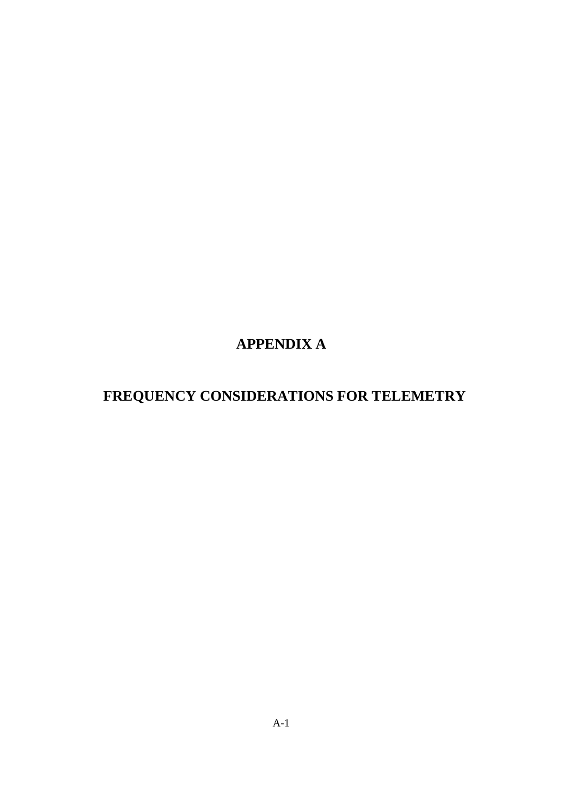# **APPENDIX A**

# **FREQUENCY CONSIDERATIONS FOR TELEMETRY**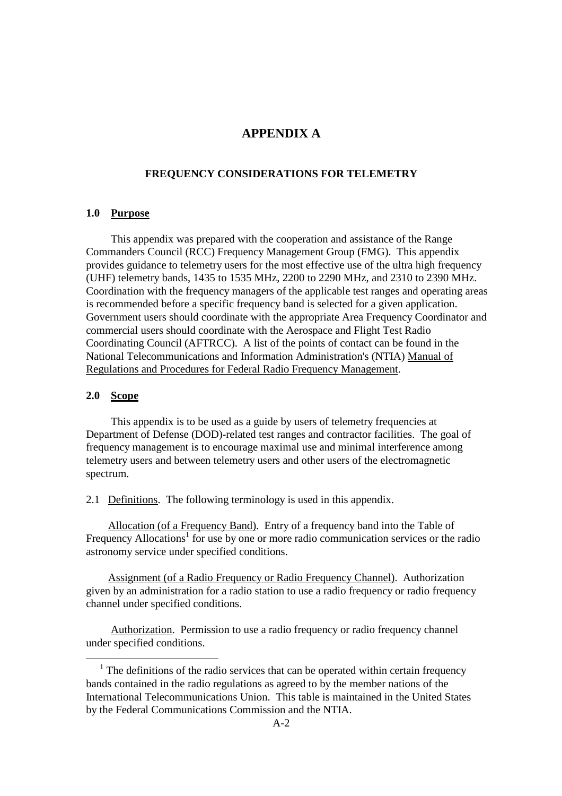# **APPENDIX A**

#### **FREQUENCY CONSIDERATIONS FOR TELEMETRY**

#### **1.0 Purpose**

 This appendix was prepared with the cooperation and assistance of the Range Commanders Council (RCC) Frequency Management Group (FMG). This appendix provides guidance to telemetry users for the most effective use of the ultra high frequency (UHF) telemetry bands, 1435 to 1535 MHz, 2200 to 2290 MHz, and 2310 to 2390 MHz. Coordination with the frequency managers of the applicable test ranges and operating areas is recommended before a specific frequency band is selected for a given application. Government users should coordinate with the appropriate Area Frequency Coordinator and commercial users should coordinate with the Aerospace and Flight Test Radio Coordinating Council (AFTRCC). A list of the points of contact can be found in the National Telecommunications and Information Administration's (NTIA) Manual of Regulations and Procedures for Federal Radio Frequency Management.

#### **2.0 Scope**

-

This appendix is to be used as a guide by users of telemetry frequencies at Department of Defense (DOD)-related test ranges and contractor facilities. The goal of frequency management is to encourage maximal use and minimal interference among telemetry users and between telemetry users and other users of the electromagnetic spectrum.

2.1 Definitions. The following terminology is used in this appendix.

 Allocation (of a Frequency Band). Entry of a frequency band into the Table of Frequency Allocations<sup>1</sup> for use by one or more radio communication services or the radio astronomy service under specified conditions.

 Assignment (of a Radio Frequency or Radio Frequency Channel). Authorization given by an administration for a radio station to use a radio frequency or radio frequency channel under specified conditions.

 Authorization. Permission to use a radio frequency or radio frequency channel under specified conditions.

<sup>&</sup>lt;sup>1</sup> The definitions of the radio services that can be operated within certain frequency bands contained in the radio regulations as agreed to by the member nations of the International Telecommunications Union. This table is maintained in the United States by the Federal Communications Commission and the NTIA.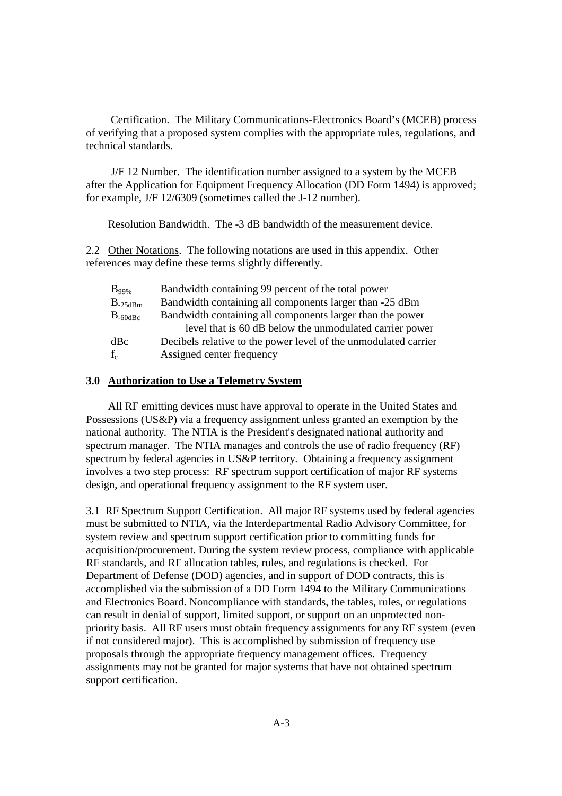Certification. The Military Communications-Electronics Board's (MCEB) process of verifying that a proposed system complies with the appropriate rules, regulations, and technical standards.

 J/F 12 Number. The identification number assigned to a system by the MCEB after the Application for Equipment Frequency Allocation (DD Form 1494) is approved; for example, J/F 12/6309 (sometimes called the J-12 number).

Resolution Bandwidth. The -3 dB bandwidth of the measurement device.

2.2 Other Notations. The following notations are used in this appendix. Other references may define these terms slightly differently.

| $B_{99\%}$          | Bandwidth containing 99 percent of the total power              |
|---------------------|-----------------------------------------------------------------|
| $B_{-25dBm}$        | Bandwidth containing all components larger than -25 dBm         |
| $B_{-60\text{d}Bc}$ | Bandwidth containing all components larger than the power       |
|                     | level that is 60 dB below the unmodulated carrier power         |
| dBc                 | Decibels relative to the power level of the unmodulated carrier |
| $f_c$               | Assigned center frequency                                       |
|                     |                                                                 |

#### **3.0 Authorization to Use a Telemetry System**

 All RF emitting devices must have approval to operate in the United States and Possessions (US&P) via a frequency assignment unless granted an exemption by the national authority. The NTIA is the President's designated national authority and spectrum manager. The NTIA manages and controls the use of radio frequency (RF) spectrum by federal agencies in US&P territory. Obtaining a frequency assignment involves a two step process: RF spectrum support certification of major RF systems design, and operational frequency assignment to the RF system user.

3.1 RF Spectrum Support Certification. All major RF systems used by federal agencies must be submitted to NTIA, via the Interdepartmental Radio Advisory Committee, for system review and spectrum support certification prior to committing funds for acquisition/procurement. During the system review process, compliance with applicable RF standards, and RF allocation tables, rules, and regulations is checked. For Department of Defense (DOD) agencies, and in support of DOD contracts, this is accomplished via the submission of a DD Form 1494 to the Military Communications and Electronics Board. Noncompliance with standards, the tables, rules, or regulations can result in denial of support, limited support, or support on an unprotected nonpriority basis. All RF users must obtain frequency assignments for any RF system (even if not considered major). This is accomplished by submission of frequency use proposals through the appropriate frequency management offices. Frequency assignments may not be granted for major systems that have not obtained spectrum support certification.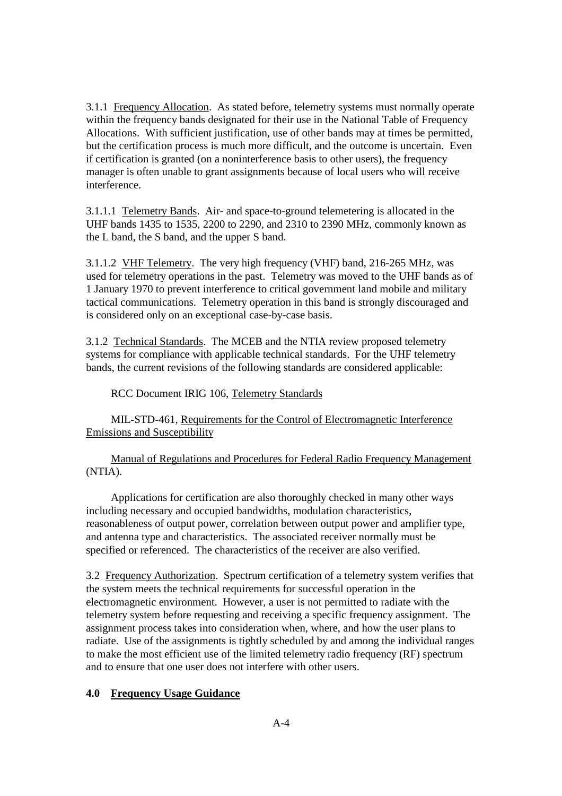3.1.1 Frequency Allocation. As stated before, telemetry systems must normally operate within the frequency bands designated for their use in the National Table of Frequency Allocations. With sufficient justification, use of other bands may at times be permitted, but the certification process is much more difficult, and the outcome is uncertain. Even if certification is granted (on a noninterference basis to other users), the frequency manager is often unable to grant assignments because of local users who will receive interference.

3.1.1.1 Telemetry Bands. Air- and space-to-ground telemetering is allocated in the UHF bands 1435 to 1535, 2200 to 2290, and 2310 to 2390 MHz, commonly known as the L band, the S band, and the upper S band.

3.1.1.2 VHF Telemetry. The very high frequency (VHF) band, 216-265 MHz, was used for telemetry operations in the past. Telemetry was moved to the UHF bands as of 1 January 1970 to prevent interference to critical government land mobile and military tactical communications. Telemetry operation in this band is strongly discouraged and is considered only on an exceptional case-by-case basis.

3.1.2 Technical Standards. The MCEB and the NTIA review proposed telemetry systems for compliance with applicable technical standards. For the UHF telemetry bands, the current revisions of the following standards are considered applicable:

#### RCC Document IRIG 106, Telemetry Standards

 MIL-STD-461, Requirements for the Control of Electromagnetic Interference Emissions and Susceptibility

 Manual of Regulations and Procedures for Federal Radio Frequency Management (NTIA).

 Applications for certification are also thoroughly checked in many other ways including necessary and occupied bandwidths, modulation characteristics, reasonableness of output power, correlation between output power and amplifier type, and antenna type and characteristics. The associated receiver normally must be specified or referenced. The characteristics of the receiver are also verified.

3.2 Frequency Authorization. Spectrum certification of a telemetry system verifies that the system meets the technical requirements for successful operation in the electromagnetic environment. However, a user is not permitted to radiate with the telemetry system before requesting and receiving a specific frequency assignment. The assignment process takes into consideration when, where, and how the user plans to radiate. Use of the assignments is tightly scheduled by and among the individual ranges to make the most efficient use of the limited telemetry radio frequency (RF) spectrum and to ensure that one user does not interfere with other users.

#### **4.0 Frequency Usage Guidance**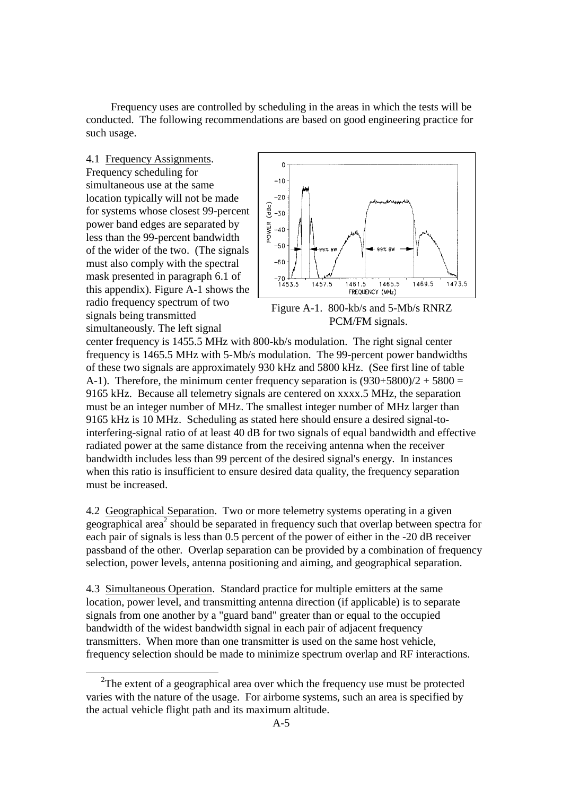Frequency uses are controlled by scheduling in the areas in which the tests will be conducted. The following recommendations are based on good engineering practice for such usage.

4.1 Frequency Assignments. Frequency scheduling for simultaneous use at the same location typically will not be made for systems whose closest 99-percent power band edges are separated by less than the 99-percent bandwidth of the wider of the two. (The signals must also comply with the spectral mask presented in paragraph 6.1 of this appendix). Figure A-1 shows the radio frequency spectrum of two signals being transmitted simultaneously. The left signal

<u>.</u>



Figure A-1. 800-kb/s and 5-Mb/s RNRZ PCM/FM signals.

center frequency is 1455.5 MHz with 800-kb/s modulation. The right signal center frequency is 1465.5 MHz with 5-Mb/s modulation. The 99-percent power bandwidths of these two signals are approximately 930 kHz and 5800 kHz. (See first line of table A-1). Therefore, the minimum center frequency separation is  $(930+5800)/2 + 5800 =$ 9165 kHz. Because all telemetry signals are centered on xxxx.5 MHz, the separation must be an integer number of MHz. The smallest integer number of MHz larger than 9165 kHz is 10 MHz. Scheduling as stated here should ensure a desired signal-tointerfering-signal ratio of at least 40 dB for two signals of equal bandwidth and effective radiated power at the same distance from the receiving antenna when the receiver bandwidth includes less than 99 percent of the desired signal's energy. In instances when this ratio is insufficient to ensure desired data quality, the frequency separation must be increased.

4.2 Geographical Separation. Two or more telemetry systems operating in a given geographical area<sup>2</sup> should be separated in frequency such that overlap between spectra for each pair of signals is less than 0.5 percent of the power of either in the -20 dB receiver passband of the other. Overlap separation can be provided by a combination of frequency selection, power levels, antenna positioning and aiming, and geographical separation.

4.3 Simultaneous Operation. Standard practice for multiple emitters at the same location, power level, and transmitting antenna direction (if applicable) is to separate signals from one another by a "guard band" greater than or equal to the occupied bandwidth of the widest bandwidth signal in each pair of adjacent frequency transmitters. When more than one transmitter is used on the same host vehicle, frequency selection should be made to minimize spectrum overlap and RF interactions.

<sup>&</sup>lt;sup>2</sup>The extent of a geographical area over which the frequency use must be protected varies with the nature of the usage. For airborne systems, such an area is specified by the actual vehicle flight path and its maximum altitude.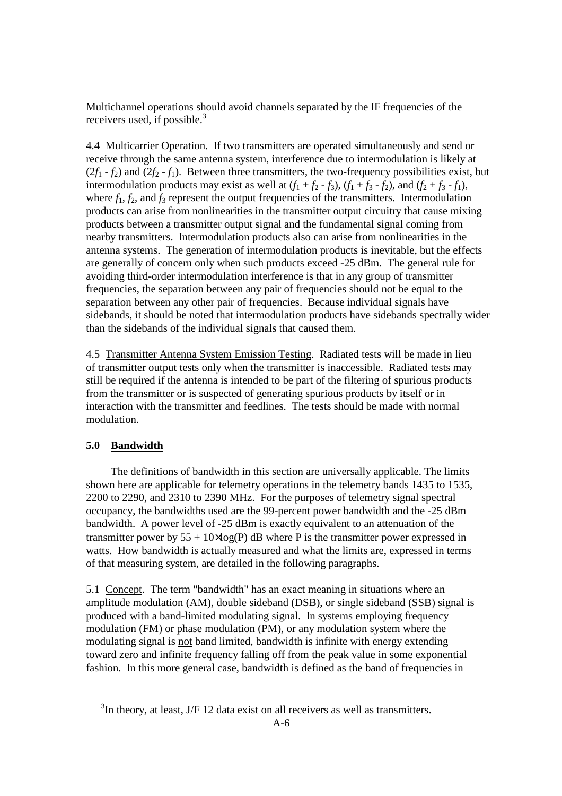Multichannel operations should avoid channels separated by the IF frequencies of the receivers used, if possible. $3$ 

4.4 Multicarrier Operation. If two transmitters are operated simultaneously and send or receive through the same antenna system, interference due to intermodulation is likely at  $(2f_1 - f_2)$  and  $(2f_2 - f_1)$ . Between three transmitters, the two-frequency possibilities exist, but intermodulation products may exist as well at  $(f_1 + f_2 - f_3)$ ,  $(f_1 + f_3 - f_2)$ , and  $(f_2 + f_3 - f_1)$ , where  $f_1$ ,  $f_2$ , and  $f_3$  represent the output frequencies of the transmitters. Intermodulation products can arise from nonlinearities in the transmitter output circuitry that cause mixing products between a transmitter output signal and the fundamental signal coming from nearby transmitters. Intermodulation products also can arise from nonlinearities in the antenna systems. The generation of intermodulation products is inevitable, but the effects are generally of concern only when such products exceed -25 dBm. The general rule for avoiding third-order intermodulation interference is that in any group of transmitter frequencies, the separation between any pair of frequencies should not be equal to the separation between any other pair of frequencies. Because individual signals have sidebands, it should be noted that intermodulation products have sidebands spectrally wider than the sidebands of the individual signals that caused them.

4.5 Transmitter Antenna System Emission Testing. Radiated tests will be made in lieu of transmitter output tests only when the transmitter is inaccessible. Radiated tests may still be required if the antenna is intended to be part of the filtering of spurious products from the transmitter or is suspected of generating spurious products by itself or in interaction with the transmitter and feedlines. The tests should be made with normal modulation.

# **5.0 Bandwidth**

-

 The definitions of bandwidth in this section are universally applicable. The limits shown here are applicable for telemetry operations in the telemetry bands 1435 to 1535, 2200 to 2290, and 2310 to 2390 MHz. For the purposes of telemetry signal spectral occupancy, the bandwidths used are the 99-percent power bandwidth and the -25 dBm bandwidth. A power level of -25 dBm is exactly equivalent to an attenuation of the transmitter power by  $55 + 10 \times \log(P)$  dB where P is the transmitter power expressed in watts. How bandwidth is actually measured and what the limits are, expressed in terms of that measuring system, are detailed in the following paragraphs.

5.1 Concept. The term "bandwidth" has an exact meaning in situations where an amplitude modulation (AM), double sideband (DSB), or single sideband (SSB) signal is produced with a band-limited modulating signal. In systems employing frequency modulation (FM) or phase modulation (PM), or any modulation system where the modulating signal is not band limited, bandwidth is infinite with energy extending toward zero and infinite frequency falling off from the peak value in some exponential fashion. In this more general case, bandwidth is defined as the band of frequencies in

 $3$ In theory, at least, J/F 12 data exist on all receivers as well as transmitters.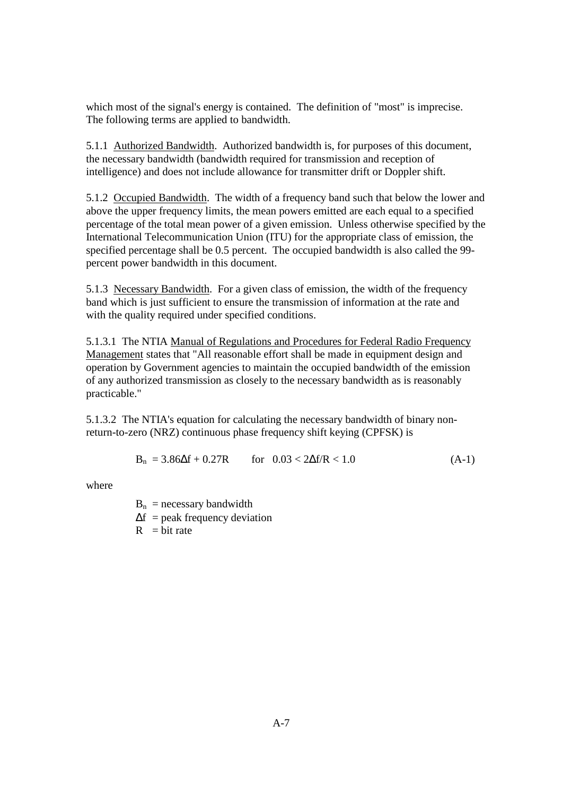which most of the signal's energy is contained. The definition of "most" is imprecise. The following terms are applied to bandwidth.

5.1.1 Authorized Bandwidth. Authorized bandwidth is, for purposes of this document, the necessary bandwidth (bandwidth required for transmission and reception of intelligence) and does not include allowance for transmitter drift or Doppler shift.

5.1.2 Occupied Bandwidth. The width of a frequency band such that below the lower and above the upper frequency limits, the mean powers emitted are each equal to a specified percentage of the total mean power of a given emission. Unless otherwise specified by the International Telecommunication Union (ITU) for the appropriate class of emission, the specified percentage shall be 0.5 percent. The occupied bandwidth is also called the 99 percent power bandwidth in this document.

5.1.3 Necessary Bandwidth. For a given class of emission, the width of the frequency band which is just sufficient to ensure the transmission of information at the rate and with the quality required under specified conditions.

5.1.3.1 The NTIA Manual of Regulations and Procedures for Federal Radio Frequency Management states that "All reasonable effort shall be made in equipment design and operation by Government agencies to maintain the occupied bandwidth of the emission of any authorized transmission as closely to the necessary bandwidth as is reasonably practicable."

5.1.3.2 The NTIA's equation for calculating the necessary bandwidth of binary nonreturn-to-zero (NRZ) continuous phase frequency shift keying (CPFSK) is

$$
B_n = 3.86\Delta f + 0.27R \qquad \text{for} \quad 0.03 < 2\Delta f/R < 1.0 \tag{A-1}
$$

where

 $B_n$  = necessary bandwidth

- $\Delta f$  = peak frequency deviation
- $R = bit$  rate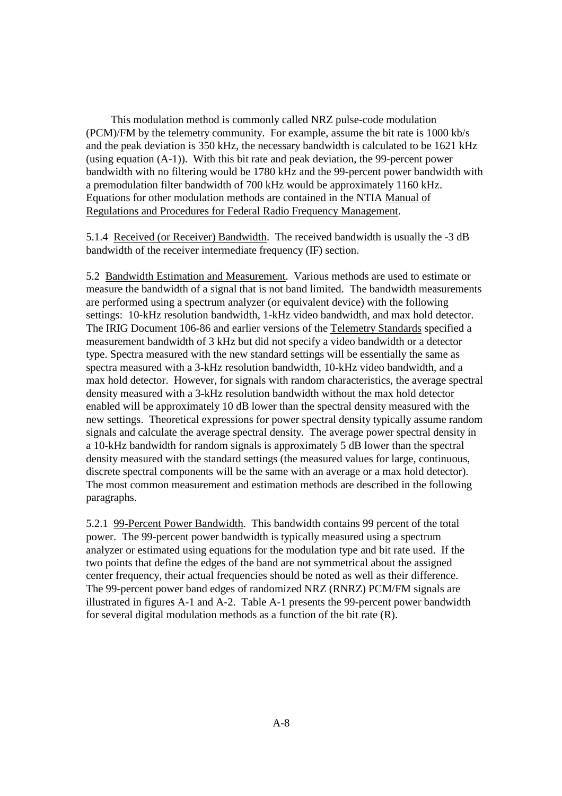This modulation method is commonly called NRZ pulse-code modulation (PCM)/FM by the telemetry community. For example, assume the bit rate is 1000 kb/s and the peak deviation is 350 kHz, the necessary bandwidth is calculated to be 1621 kHz (using equation (A-1)). With this bit rate and peak deviation, the 99-percent power bandwidth with no filtering would be 1780 kHz and the 99-percent power bandwidth with a premodulation filter bandwidth of 700 kHz would be approximately 1160 kHz. Equations for other modulation methods are contained in the NTIA Manual of Regulations and Procedures for Federal Radio Frequency Management.

5.1.4 Received (or Receiver) Bandwidth. The received bandwidth is usually the -3 dB bandwidth of the receiver intermediate frequency (IF) section.

5.2 Bandwidth Estimation and Measurement. Various methods are used to estimate or measure the bandwidth of a signal that is not band limited. The bandwidth measurements are performed using a spectrum analyzer (or equivalent device) with the following settings: 10-kHz resolution bandwidth, 1-kHz video bandwidth, and max hold detector. The IRIG Document 106-86 and earlier versions of the Telemetry Standards specified a measurement bandwidth of 3 kHz but did not specify a video bandwidth or a detector type. Spectra measured with the new standard settings will be essentially the same as spectra measured with a 3-kHz resolution bandwidth, 10-kHz video bandwidth, and a max hold detector. However, for signals with random characteristics, the average spectral density measured with a 3-kHz resolution bandwidth without the max hold detector enabled will be approximately 10 dB lower than the spectral density measured with the new settings. Theoretical expressions for power spectral density typically assume random signals and calculate the average spectral density. The average power spectral density in a 10-kHz bandwidth for random signals is approximately 5 dB lower than the spectral density measured with the standard settings (the measured values for large, continuous, discrete spectral components will be the same with an average or a max hold detector). The most common measurement and estimation methods are described in the following paragraphs.

5.2.1 99-Percent Power Bandwidth. This bandwidth contains 99 percent of the total power. The 99-percent power bandwidth is typically measured using a spectrum analyzer or estimated using equations for the modulation type and bit rate used. If the two points that define the edges of the band are not symmetrical about the assigned center frequency, their actual frequencies should be noted as well as their difference. The 99-percent power band edges of randomized NRZ (RNRZ) PCM/FM signals are illustrated in figures A-1 and A-2. Table A-1 presents the 99-percent power bandwidth for several digital modulation methods as a function of the bit rate (R).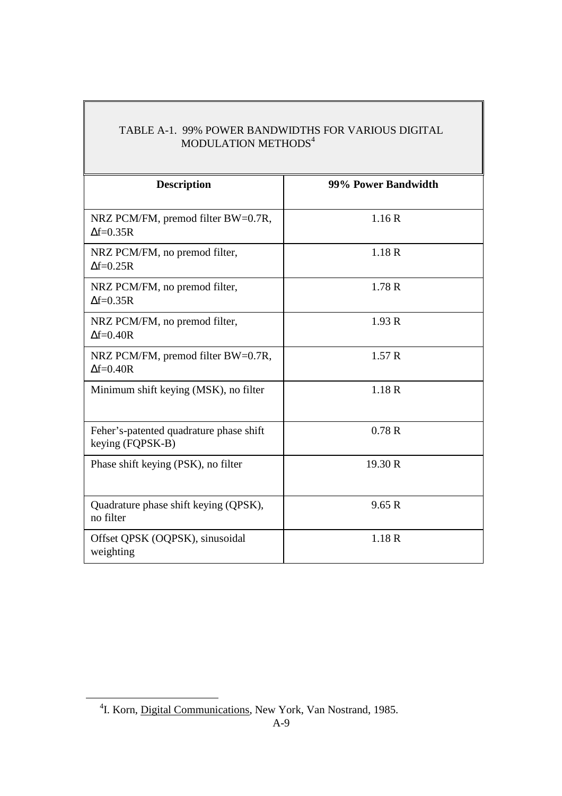# TABLE A-1. 99% POWER BANDWIDTHS FOR VARIOUS DIGITAL MODULATION METHODS $^4$

| <b>Description</b>                                          | 99% Power Bandwidth |
|-------------------------------------------------------------|---------------------|
| NRZ PCM/FM, premod filter BW=0.7R,<br>$\Delta f = 0.35R$    | 1.16R               |
| NRZ PCM/FM, no premod filter,<br>$\Delta f = 0.25R$         | 1.18R               |
| NRZ PCM/FM, no premod filter,<br>$\Delta f = 0.35R$         | 1.78R               |
| NRZ PCM/FM, no premod filter,<br>$\Delta f = 0.40R$         | 1.93R               |
| NRZ PCM/FM, premod filter BW=0.7R,<br>$\Delta f = 0.40R$    | 1.57R               |
| Minimum shift keying (MSK), no filter                       | 1.18R               |
| Feher's-patented quadrature phase shift<br>keying (FQPSK-B) | 0.78R               |
| Phase shift keying (PSK), no filter                         | 19.30 R             |
| Quadrature phase shift keying (QPSK),<br>no filter          | 9.65 R              |
| Offset QPSK (OQPSK), sinusoidal<br>weighting                | 1.18R               |

-

<sup>&</sup>lt;sup>4</sup>I. Korn, Digital Communications, New York, Van Nostrand, 1985.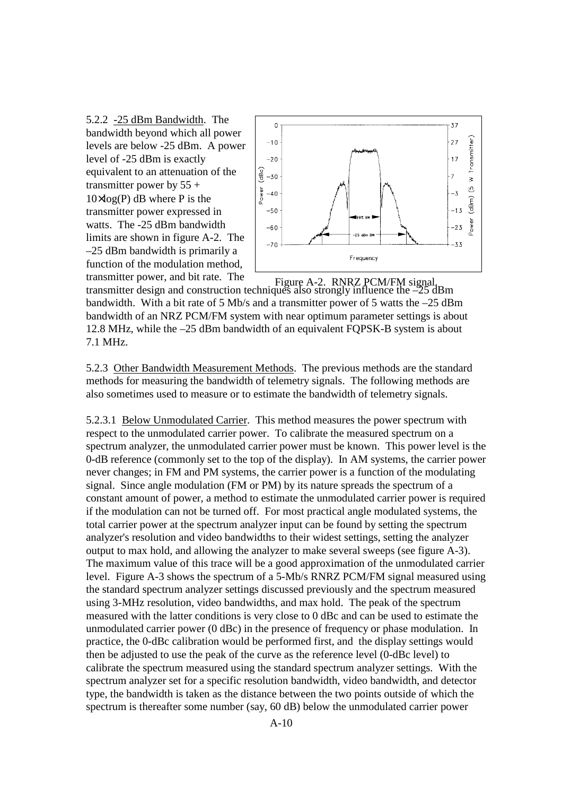5.2.2 -25 dBm Bandwidth. The bandwidth beyond which all power levels are below -25 dBm. A power level of -25 dBm is exactly equivalent to an attenuation of the transmitter power by  $55 +$  $10 \times \log(P)$  dB where P is the transmitter power expressed in watts. The -25 dBm bandwidth limits are shown in figure A-2. The –25 dBm bandwidth is primarily a function of the modulation method, transmitter power, and bit rate. The



transmitter design and construction techniques also strongly influence the –25 dBm bandwidth. With a bit rate of 5 Mb/s and a transmitter power of 5 watts the –25 dBm bandwidth of an NRZ PCM/FM system with near optimum parameter settings is about 12.8 MHz, while the –25 dBm bandwidth of an equivalent FQPSK-B system is about 7.1 MHz. Figure A-2. RNRZ PCM/FM signal.

5.2.3 Other Bandwidth Measurement Methods. The previous methods are the standard methods for measuring the bandwidth of telemetry signals. The following methods are also sometimes used to measure or to estimate the bandwidth of telemetry signals.

5.2.3.1 Below Unmodulated Carrier. This method measures the power spectrum with respect to the unmodulated carrier power. To calibrate the measured spectrum on a spectrum analyzer, the unmodulated carrier power must be known. This power level is the 0-dB reference (commonly set to the top of the display). In AM systems, the carrier power never changes; in FM and PM systems, the carrier power is a function of the modulating signal. Since angle modulation (FM or PM) by its nature spreads the spectrum of a constant amount of power, a method to estimate the unmodulated carrier power is required if the modulation can not be turned off. For most practical angle modulated systems, the total carrier power at the spectrum analyzer input can be found by setting the spectrum analyzer's resolution and video bandwidths to their widest settings, setting the analyzer output to max hold, and allowing the analyzer to make several sweeps (see figure A-3). The maximum value of this trace will be a good approximation of the unmodulated carrier level. Figure A-3 shows the spectrum of a 5-Mb/s RNRZ PCM/FM signal measured using the standard spectrum analyzer settings discussed previously and the spectrum measured using 3-MHz resolution, video bandwidths, and max hold. The peak of the spectrum measured with the latter conditions is very close to 0 dBc and can be used to estimate the unmodulated carrier power (0 dBc) in the presence of frequency or phase modulation. In practice, the 0-dBc calibration would be performed first, and the display settings would then be adjusted to use the peak of the curve as the reference level (0-dBc level) to calibrate the spectrum measured using the standard spectrum analyzer settings. With the spectrum analyzer set for a specific resolution bandwidth, video bandwidth, and detector type, the bandwidth is taken as the distance between the two points outside of which the spectrum is thereafter some number (say, 60 dB) below the unmodulated carrier power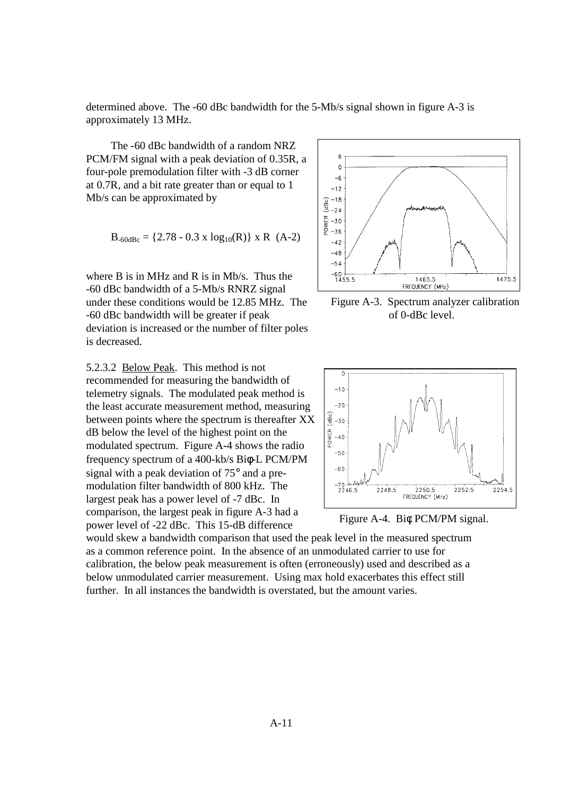determined above. The -60 dBc bandwidth for the 5-Mb/s signal shown in figure A-3 is approximately 13 MHz.

 The -60 dBc bandwidth of a random NRZ PCM/FM signal with a peak deviation of 0.35R, a four-pole premodulation filter with -3 dB corner at 0.7R, and a bit rate greater than or equal to 1 Mb/s can be approximated by

$$
B_{-60dBc} = \{2.78 - 0.3 \times \log_{10}(R)\} \times R
$$
 (A-2)

where B is in MHz and R is in Mb/s. Thus the -60 dBc bandwidth of a 5-Mb/s RNRZ signal under these conditions would be 12.85 MHz. The -60 dBc bandwidth will be greater if peak deviation is increased or the number of filter poles is decreased.

5.2.3.2 Below Peak. This method is not recommended for measuring the bandwidth of telemetry signals. The modulated peak method is the least accurate measurement method, measuring between points where the spectrum is thereafter XX dB below the level of the highest point on the modulated spectrum. Figure A-4 shows the radio frequency spectrum of a 400-kb/s Biφ-L PCM/PM signal with a peak deviation of 75° and a premodulation filter bandwidth of 800 kHz. The largest peak has a power level of -7 dBc. In comparison, the largest peak in figure A-3 had a power level of -22 dBc. This 15-dB difference



Figure A-3. Spectrum analyzer calibration of 0-dBc level.



Figure A-4. Biφ PCM/PM signal.

would skew a bandwidth comparison that used the peak level in the measured spectrum as a common reference point. In the absence of an unmodulated carrier to use for calibration, the below peak measurement is often (erroneously) used and described as a below unmodulated carrier measurement. Using max hold exacerbates this effect still further. In all instances the bandwidth is overstated, but the amount varies.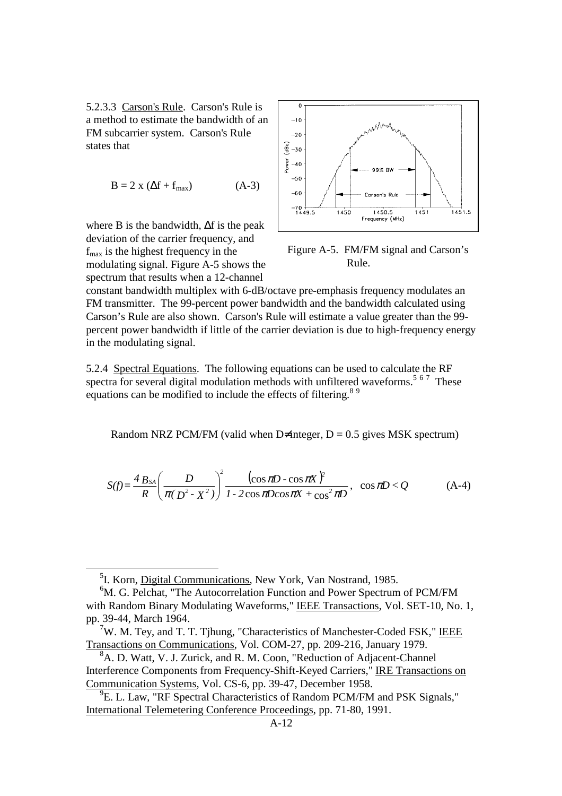5.2.3.3 Carson's Rule. Carson's Rule is a method to estimate the bandwidth of an FM subcarrier system. Carson's Rule states that

$$
B = 2 x (\Delta f + f_{max})
$$
 (A-3)

where B is the bandwidth, ∆f is the peak deviation of the carrier frequency, and  $f_{\text{max}}$  is the highest frequency in the modulating signal. Figure A-5 shows the spectrum that results when a 12-channel

-



 Figure A-5. FM/FM signal and Carson's Rule.

constant bandwidth multiplex with 6-dB/octave pre-emphasis frequency modulates an FM transmitter. The 99-percent power bandwidth and the bandwidth calculated using Carson's Rule are also shown. Carson's Rule will estimate a value greater than the 99 percent power bandwidth if little of the carrier deviation is due to high-frequency energy in the modulating signal.

5.2.4 Spectral Equations. The following equations can be used to calculate the RF spectra for several digital modulation methods with unfiltered waveforms.<sup>5 67</sup> These equations can be modified to include the effects of filtering.<sup>89</sup>

Random NRZ PCM/FM (valid when D≠integer,  $D = 0.5$  gives MSK spectrum)

$$
S(f) = \frac{4 B_{SA}}{R} \left( \frac{D}{\pi (D^2 - X^2)} \right)^2 \frac{(\cos \pi D - \cos \pi X)^2}{1 - 2 \cos \pi D \cos \pi X + \cos^2 \pi D}, \quad \cos \pi D < Q \tag{A-4}
$$

<sup>&</sup>lt;sup>5</sup>I. Korn, Digital Communications, New York, Van Nostrand, 1985.

<sup>&</sup>lt;sup>6</sup>M. G. Pelchat, "The Autocorrelation Function and Power Spectrum of PCM/FM with Random Binary Modulating Waveforms," IEEE Transactions, Vol. SET-10, No. 1, pp. 39-44, March 1964.

 $7W$ . M. Tey, and T. T. Tjhung, "Characteristics of Manchester-Coded FSK," IEEE Transactions on Communications, Vol. COM-27, pp. 209-216, January 1979.

<sup>&</sup>lt;sup>8</sup>A. D. Watt, V. J. Zurick, and R. M. Coon, "Reduction of Adjacent-Channel Interference Components from Frequency-Shift-Keyed Carriers," IRE Transactions on Communication Systems, Vol. CS-6, pp. 39-47, December 1958.

<sup>&</sup>lt;sup>9</sup>E. L. Law, "RF Spectral Characteristics of Random PCM/FM and PSK Signals," International Telemetering Conference Proceedings, pp. 71-80, 1991.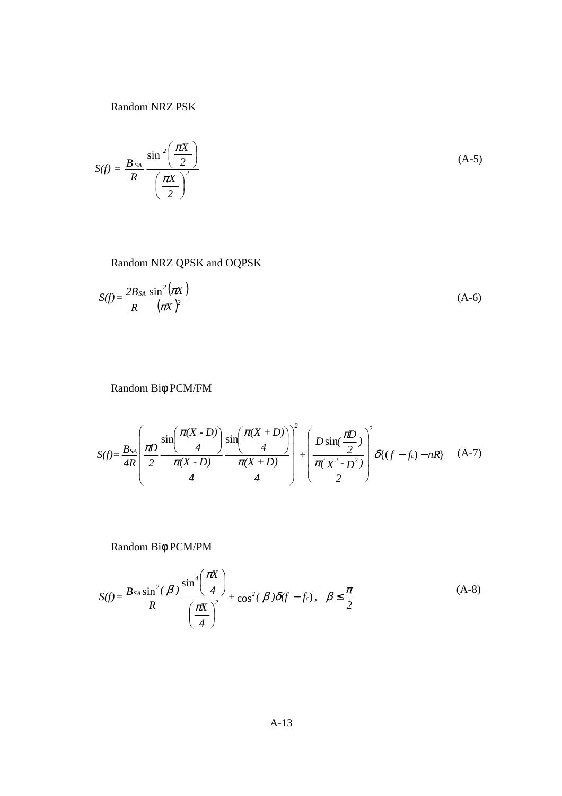Random NRZ PSK

$$
S(f) = \frac{B_{SA}}{R} \frac{\sin^2\left(\frac{\pi X}{2}\right)}{\left(\frac{\pi X}{2}\right)^2}
$$
 (A-5)

## Random NRZ QPSK and OQPSK

$$
S(f) = \frac{2B_{SA}}{R} \frac{\sin^2(\pi X)}{(\pi X)^2}
$$
 (A-6)

Random Biφ PCM/FM

$$
S(f) = \frac{B_{SA}}{4R} \left( \frac{\pi D}{2} \frac{\sin\left(\frac{\pi (X - D)}{4}\right)}{\frac{\pi (X - D)}{4}} \frac{\sin\left(\frac{\pi (X + D)}{4}\right)}{\frac{\pi (X + D)}{4}} \right)^2 + \left( \frac{D \sin\left(\frac{\pi D}{2}\right)}{\frac{\pi (X^2 - D^2)}{2}} \right)^2 \delta\{(f - f_c) - nR\} \quad (A-7)
$$

Random Biφ PCM/PM

$$
S(f) = \frac{B_{SA}\sin^2(\beta)}{R} \frac{\sin^4\left(\frac{\pi X}{4}\right)}{\left(\frac{\pi X}{4}\right)^2} + \cos^2(\beta)\delta(f - f_c), \quad \beta \le \frac{\pi}{2}
$$
 (A-8)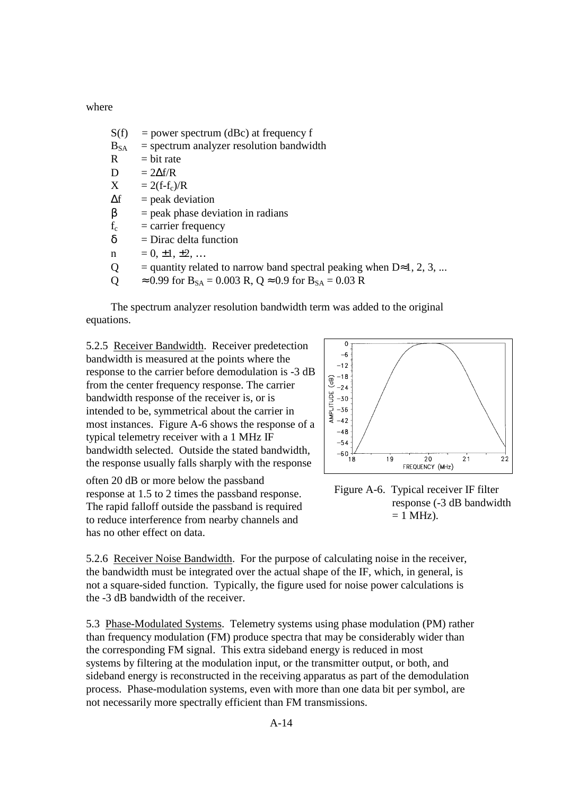where

- $S(f)$  = power spectrum (dBc) at frequency f
- $B_{SA}$  = spectrum analyzer resolution bandwidth
- $R = bit$  rate
- D  $= 2\Delta f/R$
- $X = 2(f-f_c)/R$
- $\Delta f$  = peak deviation
- $β = peak phase deviation in radians$
- $f_c$  = carrier frequency
- $\delta$  = Dirac delta function
- $n = 0, \pm 1, \pm 2, \ldots$
- Q = quantity related to narrow band spectral peaking when  $D \approx 1, 2, 3, ...$
- Q  $\approx 0.99$  for B<sub>SA</sub> = 0.003 R, Q  $\approx 0.9$  for B<sub>SA</sub> = 0.03 R

 The spectrum analyzer resolution bandwidth term was added to the original equations.

5.2.5 Receiver Bandwidth. Receiver predetection bandwidth is measured at the points where the response to the carrier before demodulation is -3 dB from the center frequency response. The carrier bandwidth response of the receiver is, or is intended to be, symmetrical about the carrier in most instances. Figure A-6 shows the response of a typical telemetry receiver with a 1 MHz IF bandwidth selected. Outside the stated bandwidth, the response usually falls sharply with the response

often 20 dB or more below the passband response at 1.5 to 2 times the passband response. The rapid falloff outside the passband is required to reduce interference from nearby channels and has no other effect on data.



 Figure A-6. Typical receiver IF filter response (-3 dB bandwidth  $= 1$  MHz).

5.2.6 Receiver Noise Bandwidth. For the purpose of calculating noise in the receiver, the bandwidth must be integrated over the actual shape of the IF, which, in general, is not a square-sided function. Typically, the figure used for noise power calculations is the -3 dB bandwidth of the receiver.

5.3 Phase-Modulated Systems. Telemetry systems using phase modulation (PM) rather than frequency modulation (FM) produce spectra that may be considerably wider than the corresponding FM signal. This extra sideband energy is reduced in most systems by filtering at the modulation input, or the transmitter output, or both, and sideband energy is reconstructed in the receiving apparatus as part of the demodulation process. Phase-modulation systems, even with more than one data bit per symbol, are not necessarily more spectrally efficient than FM transmissions.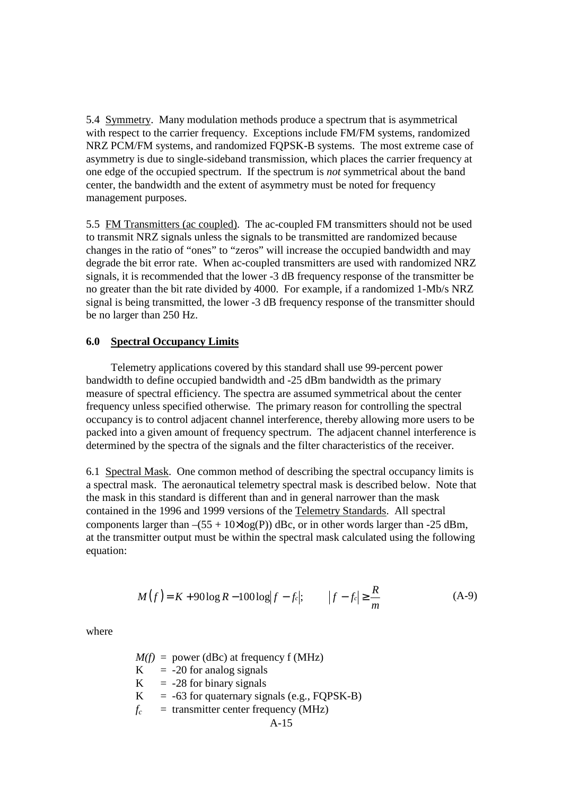5.4 Symmetry. Many modulation methods produce a spectrum that is asymmetrical with respect to the carrier frequency. Exceptions include FM/FM systems, randomized NRZ PCM/FM systems, and randomized FQPSK-B systems. The most extreme case of asymmetry is due to single-sideband transmission, which places the carrier frequency at one edge of the occupied spectrum. If the spectrum is *not* symmetrical about the band center, the bandwidth and the extent of asymmetry must be noted for frequency management purposes.

5.5 FM Transmitters (ac coupled). The ac-coupled FM transmitters should not be used to transmit NRZ signals unless the signals to be transmitted are randomized because changes in the ratio of "ones" to "zeros" will increase the occupied bandwidth and may degrade the bit error rate. When ac-coupled transmitters are used with randomized NRZ signals, it is recommended that the lower -3 dB frequency response of the transmitter be no greater than the bit rate divided by 4000. For example, if a randomized 1-Mb/s NRZ signal is being transmitted, the lower -3 dB frequency response of the transmitter should be no larger than 250 Hz.

#### **6.0 Spectral Occupancy Limits**

 Telemetry applications covered by this standard shall use 99-percent power bandwidth to define occupied bandwidth and -25 dBm bandwidth as the primary measure of spectral efficiency. The spectra are assumed symmetrical about the center frequency unless specified otherwise. The primary reason for controlling the spectral occupancy is to control adjacent channel interference, thereby allowing more users to be packed into a given amount of frequency spectrum. The adjacent channel interference is determined by the spectra of the signals and the filter characteristics of the receiver.

6.1 Spectral Mask. One common method of describing the spectral occupancy limits is a spectral mask. The aeronautical telemetry spectral mask is described below. Note that the mask in this standard is different than and in general narrower than the mask contained in the 1996 and 1999 versions of the Telemetry Standards. All spectral components larger than  $-(55 + 10 \times \log(P))$  dBc, or in other words larger than -25 dBm, at the transmitter output must be within the spectral mask calculated using the following equation:

$$
M(f) = K + 90\log R - 100\log|f - f_c|; \qquad |f - f_c| \ge \frac{R}{m}
$$
 (A-9)

where

A-15  $M(f)$  = power (dBc) at frequency f (MHz)  $K = -20$  for analog signals  $K = -28$  for binary signals  $K = -63$  for quaternary signals (e.g., FQPSK-B)  $f_c$  = transmitter center frequency (MHz)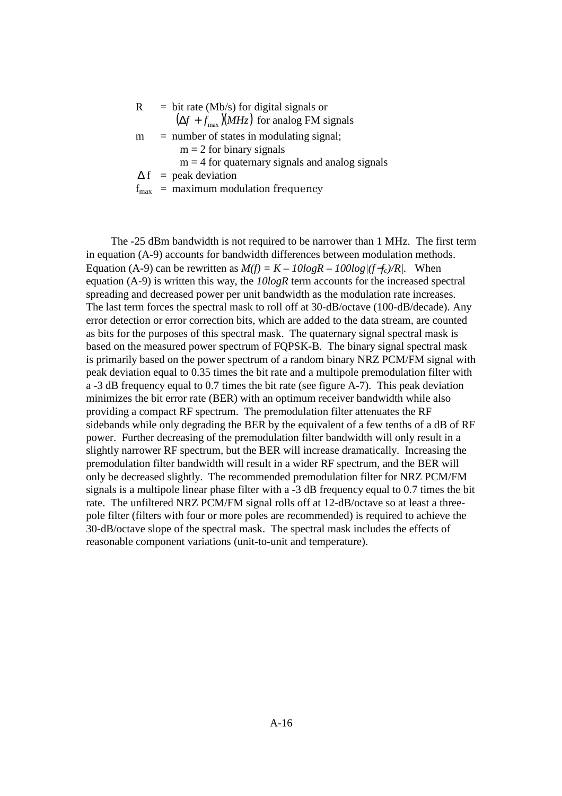| R. | $=$ bit rate (Mb/s) for digital signals or               |
|----|----------------------------------------------------------|
|    | $(\Delta f + f_{\text{max}})(MHz)$ for analog FM signals |
| m  | $=$ number of states in modulating signal;               |
|    | $m = 2$ for binary signals                               |
|    | $m = 4$ for quaternary signals and analog signals        |
|    | $\Delta f$ = peak deviation                              |
|    | $f_{\text{max}}$ = maximum modulation frequency          |

 The -25 dBm bandwidth is not required to be narrower than 1 MHz. The first term in equation (A-9) accounts for bandwidth differences between modulation methods. Equation (A-9) can be rewritten as  $M(f) = K - 10logR - 100log/(f - f_c)/R$ . When equation (A-9) is written this way, the *10logR* term accounts for the increased spectral spreading and decreased power per unit bandwidth as the modulation rate increases. The last term forces the spectral mask to roll off at 30-dB/octave (100-dB/decade). Any error detection or error correction bits, which are added to the data stream, are counted as bits for the purposes of this spectral mask. The quaternary signal spectral mask is based on the measured power spectrum of FQPSK-B. The binary signal spectral mask is primarily based on the power spectrum of a random binary NRZ PCM/FM signal with peak deviation equal to 0.35 times the bit rate and a multipole premodulation filter with a -3 dB frequency equal to 0.7 times the bit rate (see figure A-7). This peak deviation minimizes the bit error rate (BER) with an optimum receiver bandwidth while also providing a compact RF spectrum. The premodulation filter attenuates the RF sidebands while only degrading the BER by the equivalent of a few tenths of a dB of RF power. Further decreasing of the premodulation filter bandwidth will only result in a slightly narrower RF spectrum, but the BER will increase dramatically. Increasing the premodulation filter bandwidth will result in a wider RF spectrum, and the BER will only be decreased slightly. The recommended premodulation filter for NRZ PCM/FM signals is a multipole linear phase filter with a -3 dB frequency equal to 0.7 times the bit rate. The unfiltered NRZ PCM/FM signal rolls off at 12-dB/octave so at least a threepole filter (filters with four or more poles are recommended) is required to achieve the 30-dB/octave slope of the spectral mask. The spectral mask includes the effects of reasonable component variations (unit-to-unit and temperature).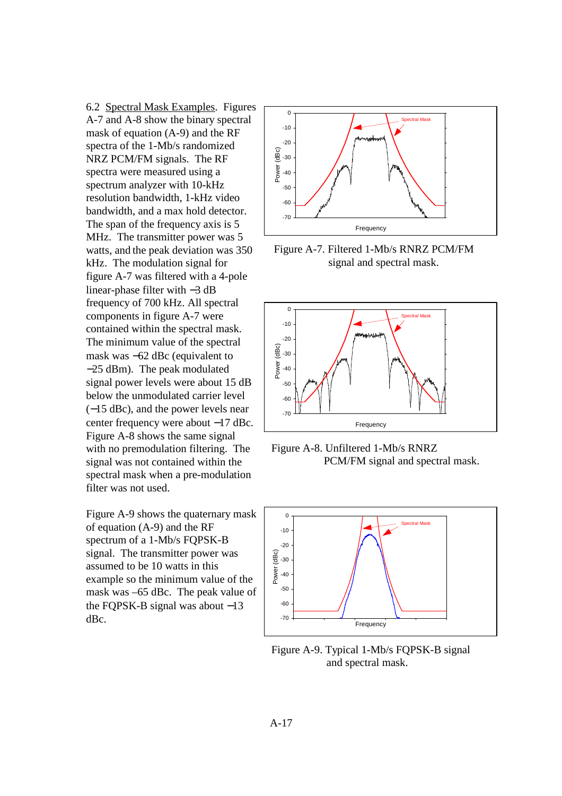6.2 Spectral Mask Examples. Figures A-7 and A-8 show the binary spectral mask of equation (A-9) and the RF spectra of the 1-Mb/s randomized NRZ PCM/FM signals. The RF spectra were measured using a spectrum analyzer with 10-kHz resolution bandwidth, 1-kHz video bandwidth, and a max hold detector. The span of the frequency axis is 5 MHz. The transmitter power was 5 watts, and the peak deviation was 350 kHz. The modulation signal for figure A-7 was filtered with a 4-pole linear-phase filter with −3 dB frequency of 700 kHz. All spectral components in figure A-7 were contained within the spectral mask. The minimum value of the spectral mask was −62 dBc (equivalent to −25 dBm). The peak modulated signal power levels were about 15 dB below the unmodulated carrier level (−15 dBc), and the power levels near center frequency were about −17 dBc. Figure A-8 shows the same signal with no premodulation filtering. The signal was not contained within the spectral mask when a pre-modulation filter was not used.

Figure A-9 shows the quaternary mask of equation (A-9) and the RF spectrum of a 1-Mb/s FQPSK-B signal. The transmitter power was assumed to be 10 watts in this example so the minimum value of the mask was –65 dBc. The peak value of the FQPSK-B signal was about −13 dBc.



Figure A-7. Filtered 1-Mb/s RNRZ PCM/FM signal and spectral mask.



Figure A-8. Unfiltered 1-Mb/s RNRZ PCM/FM signal and spectral mask.



Figure A-9. Typical 1-Mb/s FQPSK-B signal and spectral mask.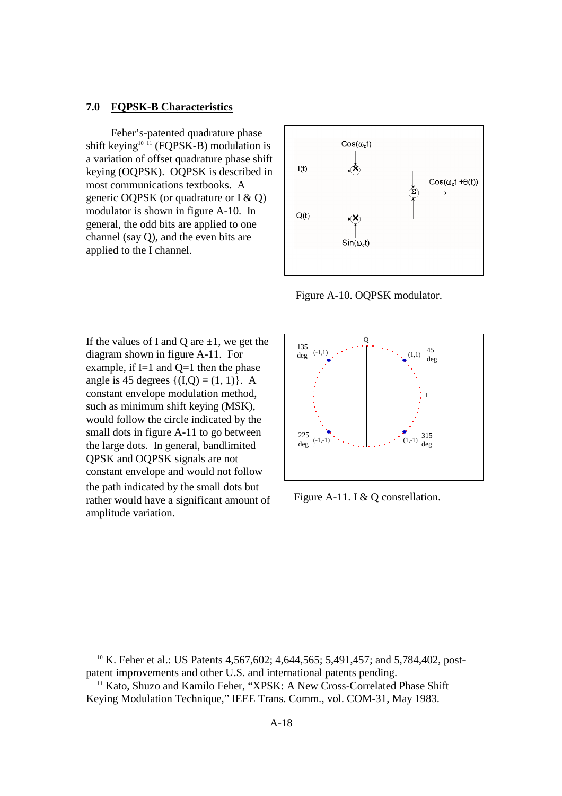#### **7.0 FQPSK-B Characteristics**

 Feher's-patented quadrature phase shift keying<sup>10 11</sup> (FQPSK-B) modulation is a variation of offset quadrature phase shift keying (OQPSK). OQPSK is described in most communications textbooks. A generic OQPSK (or quadrature or I & Q) modulator is shown in figure A-10. In general, the odd bits are applied to one channel (say Q), and the even bits are applied to the I channel.



Figure A-10. OQPSK modulator.

If the values of I and Q are  $\pm 1$ , we get the diagram shown in figure A-11. For example, if  $I=1$  and  $Q=1$  then the phase angle is 45 degrees  $\{(I,Q) = (1, 1)\}\.$  A constant envelope modulation method, such as minimum shift keying (MSK), would follow the circle indicated by the small dots in figure A-11 to go between the large dots. In general, bandlimited QPSK and OQPSK signals are not constant envelope and would not follow the path indicated by the small dots but rather would have a significant amount of amplitude variation.

-



Figure A-11. I & Q constellation.

<sup>&</sup>lt;sup>10</sup> K. Feher et al.: US Patents 4,567,602; 4,644,565; 5,491,457; and 5,784,402, postpatent improvements and other U.S. and international patents pending.

<sup>&</sup>lt;sup>11</sup> Kato, Shuzo and Kamilo Feher, "XPSK: A New Cross-Correlated Phase Shift Keying Modulation Technique," IEEE Trans. Comm*.*, vol. COM-31, May 1983.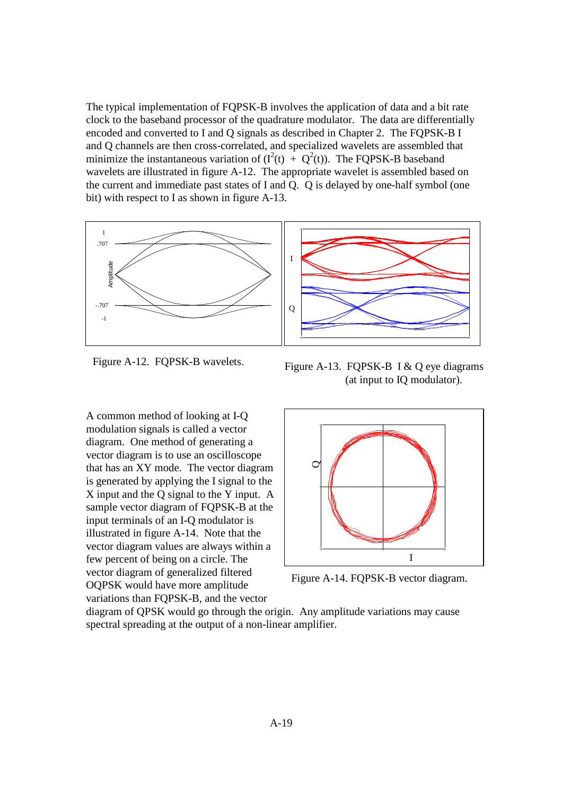The typical implementation of FQPSK-B involves the application of data and a bit rate clock to the baseband processor of the quadrature modulator. The data are differentially encoded and converted to I and Q signals as described in Chapter 2. The FQPSK-B I and Q channels are then cross-correlated, and specialized wavelets are assembled that minimize the instantaneous variation of  $(I^2(t) + Q^2(t))$ . The FQPSK-B baseband wavelets are illustrated in figure A-12. The appropriate wavelet is assembled based on the current and immediate past states of I and Q. Q is delayed by one-half symbol (one bit) with respect to I as shown in figure A-13.



Figure A-12. FQPSK-B wavelets.

A common method of looking at I-Q modulation signals is called a vector diagram. One method of generating a vector diagram is to use an oscilloscope that has an XY mode. The vector diagram is generated by applying the I signal to the X input and the Q signal to the Y input. A sample vector diagram of FQPSK-B at the input terminals of an I-Q modulator is illustrated in figure A-14. Note that the vector diagram values are always within a few percent of being on a circle. The vector diagram of generalized filtered OQPSK would have more amplitude variations than FQPSK-B, and the vector

Figure A-13. FQPSK-B I & Q eye diagrams (at input to IQ modulator).



Figure A-14. FQPSK-B vector diagram.

diagram of QPSK would go through the origin. Any amplitude variations may cause spectral spreading at the output of a non-linear amplifier.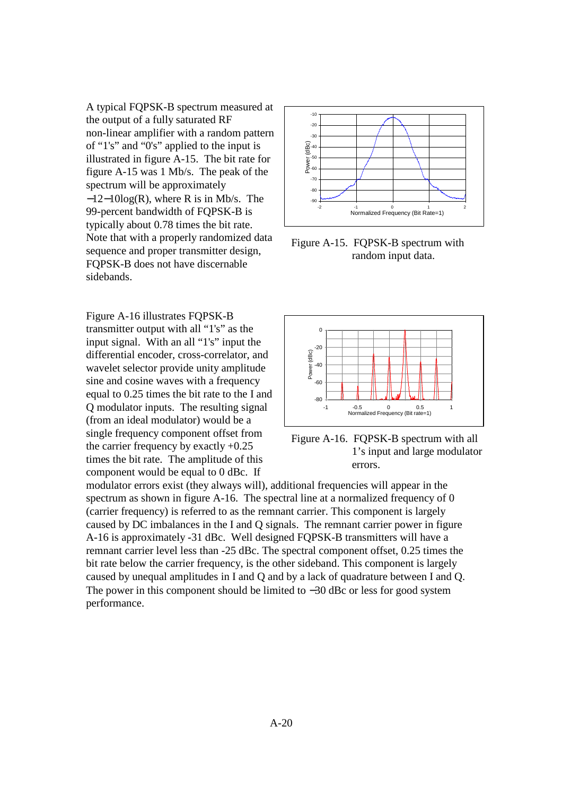A typical FQPSK-B spectrum measured at the output of a fully saturated RF non-linear amplifier with a random pattern of "1's" and "0's" applied to the input is illustrated in figure A-15. The bit rate for figure A-15 was 1 Mb/s. The peak of the spectrum will be approximately −12−10log(R), where R is in Mb/s. The 99-percent bandwidth of FQPSK-B is typically about 0.78 times the bit rate. Note that with a properly randomized data sequence and proper transmitter design, FQPSK-B does not have discernable sidebands.

Figure A-16 illustrates FQPSK-B transmitter output with all "1's" as the input signal. With an all "1's" input the differential encoder, cross-correlator, and wavelet selector provide unity amplitude sine and cosine waves with a frequency equal to 0.25 times the bit rate to the I and Q modulator inputs. The resulting signal (from an ideal modulator) would be a single frequency component offset from the carrier frequency by exactly +0.25 times the bit rate. The amplitude of this component would be equal to 0 dBc. If



Figure A-15. FQPSK-B spectrum with random input data.



Figure A-16. FQPSK-B spectrum with all 1's input and large modulator errors.

modulator errors exist (they always will), additional frequencies will appear in the spectrum as shown in figure A-16. The spectral line at a normalized frequency of 0 (carrier frequency) is referred to as the remnant carrier. This component is largely caused by DC imbalances in the I and Q signals. The remnant carrier power in figure A-16 is approximately -31 dBc. Well designed FQPSK-B transmitters will have a remnant carrier level less than -25 dBc. The spectral component offset, 0.25 times the bit rate below the carrier frequency, is the other sideband. This component is largely caused by unequal amplitudes in I and Q and by a lack of quadrature between I and Q. The power in this component should be limited to −30 dBc or less for good system performance.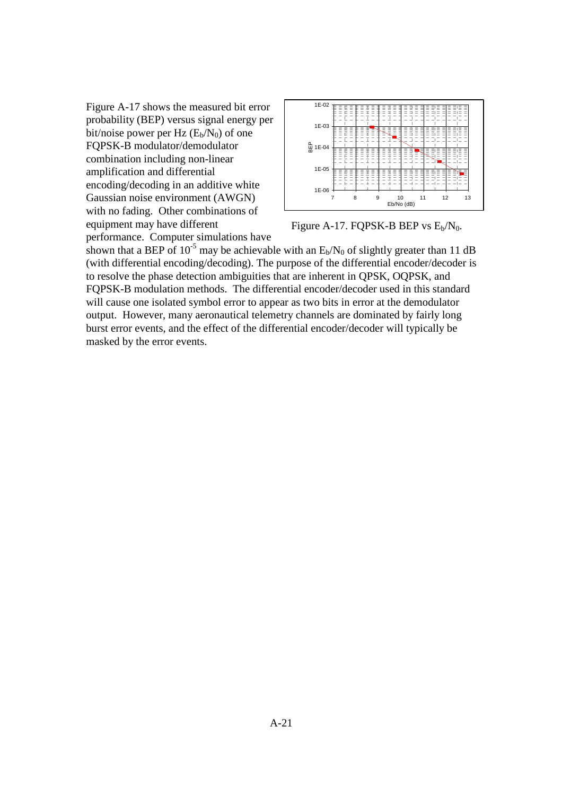Figure A-17 shows the measured bit error probability (BEP) versus signal energy per bit/noise power per Hz  $(E_b/N_0)$  of one FQPSK-B modulator/demodulator combination including non-linear amplification and differential encoding/decoding in an additive white Gaussian noise environment (AWGN) with no fading. Other combinations of equipment may have different performance. Computer simulations have



Figure A-17. FQPSK-B BEP vs  $E_b/N_0$ .

shown that a BEP of  $10^{-5}$  may be achievable with an  $E_b/N_0$  of slightly greater than 11 dB (with differential encoding/decoding). The purpose of the differential encoder/decoder is to resolve the phase detection ambiguities that are inherent in QPSK, OQPSK, and FQPSK-B modulation methods. The differential encoder/decoder used in this standard will cause one isolated symbol error to appear as two bits in error at the demodulator output. However, many aeronautical telemetry channels are dominated by fairly long burst error events, and the effect of the differential encoder/decoder will typically be masked by the error events.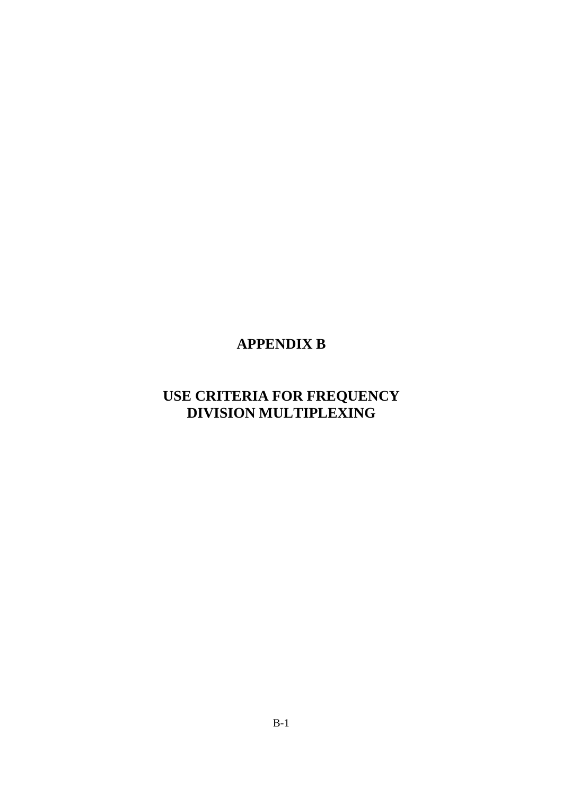# **APPENDIX B**

# **USE CRITERIA FOR FREQUENCY DIVISION MULTIPLEXING**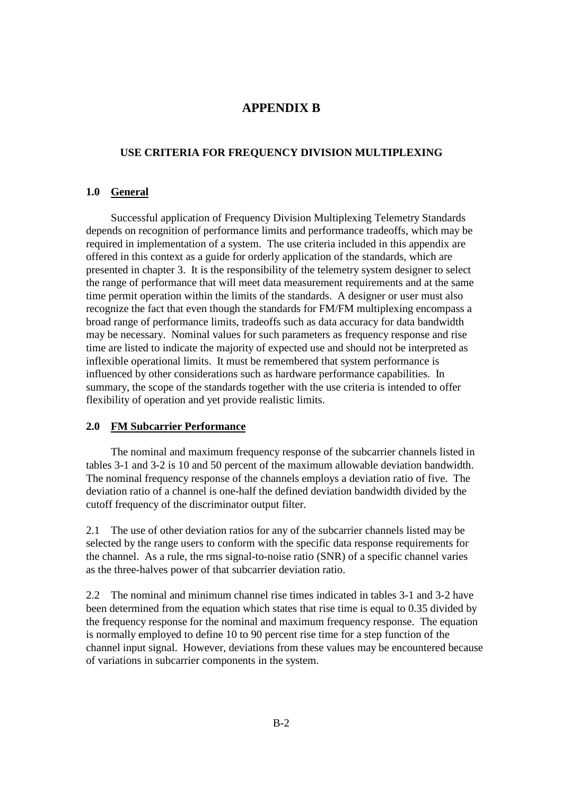## **APPENDIX B**

#### **USE CRITERIA FOR FREQUENCY DIVISION MULTIPLEXING**

#### **1.0 General**

 Successful application of Frequency Division Multiplexing Telemetry Standards depends on recognition of performance limits and performance tradeoffs, which may be required in implementation of a system. The use criteria included in this appendix are offered in this context as a guide for orderly application of the standards, which are presented in chapter 3. It is the responsibility of the telemetry system designer to select the range of performance that will meet data measurement requirements and at the same time permit operation within the limits of the standards. A designer or user must also recognize the fact that even though the standards for FM/FM multiplexing encompass a broad range of performance limits, tradeoffs such as data accuracy for data bandwidth may be necessary. Nominal values for such parameters as frequency response and rise time are listed to indicate the majority of expected use and should not be interpreted as inflexible operational limits. It must be remembered that system performance is influenced by other considerations such as hardware performance capabilities. In summary, the scope of the standards together with the use criteria is intended to offer flexibility of operation and yet provide realistic limits.

#### **2.0 FM Subcarrier Performance**

 The nominal and maximum frequency response of the subcarrier channels listed in tables 3-1 and 3-2 is 10 and 50 percent of the maximum allowable deviation bandwidth. The nominal frequency response of the channels employs a deviation ratio of five. The deviation ratio of a channel is one-half the defined deviation bandwidth divided by the cutoff frequency of the discriminator output filter.

2.1 The use of other deviation ratios for any of the subcarrier channels listed may be selected by the range users to conform with the specific data response requirements for the channel. As a rule, the rms signal-to-noise ratio (SNR) of a specific channel varies as the three-halves power of that subcarrier deviation ratio.

2.2 The nominal and minimum channel rise times indicated in tables 3-1 and 3-2 have been determined from the equation which states that rise time is equal to 0.35 divided by the frequency response for the nominal and maximum frequency response. The equation is normally employed to define 10 to 90 percent rise time for a step function of the channel input signal. However, deviations from these values may be encountered because of variations in subcarrier components in the system.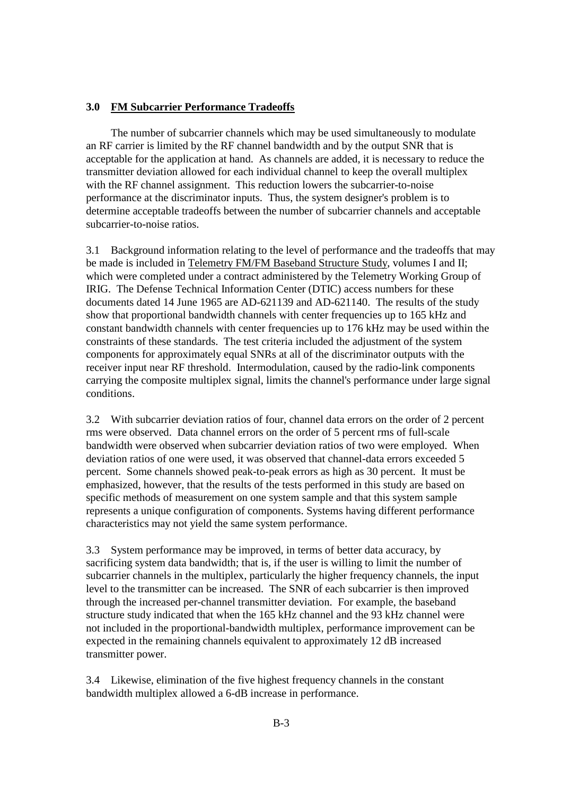#### **3.0 FM Subcarrier Performance Tradeoffs**

 The number of subcarrier channels which may be used simultaneously to modulate an RF carrier is limited by the RF channel bandwidth and by the output SNR that is acceptable for the application at hand. As channels are added, it is necessary to reduce the transmitter deviation allowed for each individual channel to keep the overall multiplex with the RF channel assignment. This reduction lowers the subcarrier-to-noise performance at the discriminator inputs. Thus, the system designer's problem is to determine acceptable tradeoffs between the number of subcarrier channels and acceptable subcarrier-to-noise ratios.

3.1 Background information relating to the level of performance and the tradeoffs that may be made is included in Telemetry FM/FM Baseband Structure Study, volumes I and II; which were completed under a contract administered by the Telemetry Working Group of IRIG. The Defense Technical Information Center (DTIC) access numbers for these documents dated 14 June 1965 are AD-621139 and AD-621140. The results of the study show that proportional bandwidth channels with center frequencies up to 165 kHz and constant bandwidth channels with center frequencies up to 176 kHz may be used within the constraints of these standards. The test criteria included the adjustment of the system components for approximately equal SNRs at all of the discriminator outputs with the receiver input near RF threshold. Intermodulation, caused by the radio-link components carrying the composite multiplex signal, limits the channel's performance under large signal conditions.

3.2 With subcarrier deviation ratios of four, channel data errors on the order of 2 percent rms were observed. Data channel errors on the order of 5 percent rms of full-scale bandwidth were observed when subcarrier deviation ratios of two were employed. When deviation ratios of one were used, it was observed that channel-data errors exceeded 5 percent. Some channels showed peak-to-peak errors as high as 30 percent. It must be emphasized, however, that the results of the tests performed in this study are based on specific methods of measurement on one system sample and that this system sample represents a unique configuration of components. Systems having different performance characteristics may not yield the same system performance.

3.3 System performance may be improved, in terms of better data accuracy, by sacrificing system data bandwidth; that is, if the user is willing to limit the number of subcarrier channels in the multiplex, particularly the higher frequency channels, the input level to the transmitter can be increased. The SNR of each subcarrier is then improved through the increased per-channel transmitter deviation. For example, the baseband structure study indicated that when the 165 kHz channel and the 93 kHz channel were not included in the proportional-bandwidth multiplex, performance improvement can be expected in the remaining channels equivalent to approximately 12 dB increased transmitter power.

3.4 Likewise, elimination of the five highest frequency channels in the constant bandwidth multiplex allowed a 6-dB increase in performance.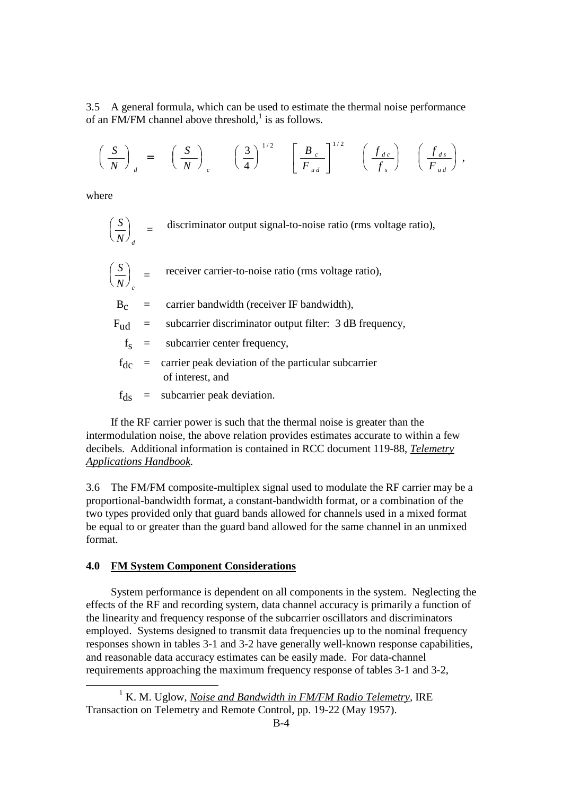3.5 A general formula, which can be used to estimate the thermal noise performance of an FM/FM channel above threshold,<sup>1</sup> is as follows.

$$
\left(\frac{S}{N}\right)_d = \left(\frac{S}{N}\right)_c \left(\frac{3}{4}\right)^{1/2} \left[\frac{B_c}{F_{ud}}\right]^{1/2} \left(\frac{f_{dc}}{f_s}\right) \left(\frac{f_{ds}}{F_{ud}}\right),
$$

where

-

$$
\left(\frac{S}{N}\right)_{d}
$$
 = discriminator output signal-to-noise ratio (rms voltage ratio),

$$
\left(\frac{S}{N}\right)_c = \text{receiver carrier-to-noise ratio (rms voltage ratio)},
$$

 $B<sub>c</sub>$  = carrier bandwidth (receiver IF bandwidth),

$$
F_{ud} =
$$
 subcarrier discriminator output filter: 3 dB frequency,

- $f<sub>S</sub>$  = subcarrier center frequency,
	- $f_{\text{dc}}$  = carrier peak deviation of the particular subcarrier of interest, and
	- $f_{\text{ds}}$  = subcarrier peak deviation.

 If the RF carrier power is such that the thermal noise is greater than the intermodulation noise, the above relation provides estimates accurate to within a few decibels. Additional information is contained in RCC document 119-88, *Telemetry Applications Handbook.* 

3.6 The FM/FM composite-multiplex signal used to modulate the RF carrier may be a proportional-bandwidth format, a constant-bandwidth format, or a combination of the two types provided only that guard bands allowed for channels used in a mixed format be equal to or greater than the guard band allowed for the same channel in an unmixed format.

#### **4.0 FM System Component Considerations**

 System performance is dependent on all components in the system. Neglecting the effects of the RF and recording system, data channel accuracy is primarily a function of the linearity and frequency response of the subcarrier oscillators and discriminators employed. Systems designed to transmit data frequencies up to the nominal frequency responses shown in tables 3-1 and 3-2 have generally well-known response capabilities, and reasonable data accuracy estimates can be easily made. For data-channel requirements approaching the maximum frequency response of tables 3-1 and 3-2,

<sup>&</sup>lt;sup>1</sup> K. M. Uglow, *Noise and Bandwidth in FM/FM Radio Telemetry*, IRE Transaction on Telemetry and Remote Control, pp. 19-22 (May 1957).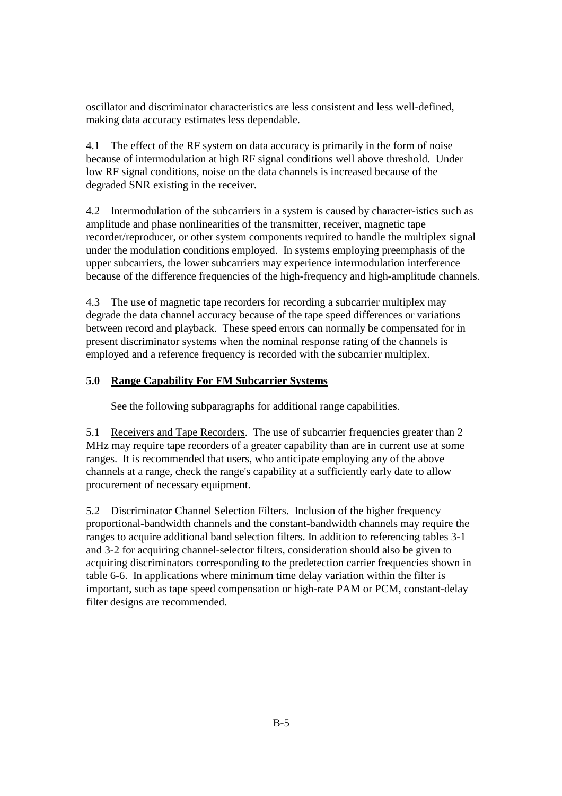oscillator and discriminator characteristics are less consistent and less well-defined, making data accuracy estimates less dependable.

4.1 The effect of the RF system on data accuracy is primarily in the form of noise because of intermodulation at high RF signal conditions well above threshold. Under low RF signal conditions, noise on the data channels is increased because of the degraded SNR existing in the receiver.

4.2 Intermodulation of the subcarriers in a system is caused by character-istics such as amplitude and phase nonlinearities of the transmitter, receiver, magnetic tape recorder/reproducer, or other system components required to handle the multiplex signal under the modulation conditions employed. In systems employing preemphasis of the upper subcarriers, the lower subcarriers may experience intermodulation interference because of the difference frequencies of the high-frequency and high-amplitude channels.

4.3 The use of magnetic tape recorders for recording a subcarrier multiplex may degrade the data channel accuracy because of the tape speed differences or variations between record and playback. These speed errors can normally be compensated for in present discriminator systems when the nominal response rating of the channels is employed and a reference frequency is recorded with the subcarrier multiplex.

## **5.0 Range Capability For FM Subcarrier Systems**

See the following subparagraphs for additional range capabilities.

5.1 Receivers and Tape Recorders. The use of subcarrier frequencies greater than 2 MHz may require tape recorders of a greater capability than are in current use at some ranges. It is recommended that users, who anticipate employing any of the above channels at a range, check the range's capability at a sufficiently early date to allow procurement of necessary equipment.

5.2 Discriminator Channel Selection Filters. Inclusion of the higher frequency proportional-bandwidth channels and the constant-bandwidth channels may require the ranges to acquire additional band selection filters. In addition to referencing tables 3-1 and 3-2 for acquiring channel-selector filters, consideration should also be given to acquiring discriminators corresponding to the predetection carrier frequencies shown in table 6-6. In applications where minimum time delay variation within the filter is important, such as tape speed compensation or high-rate PAM or PCM, constant-delay filter designs are recommended.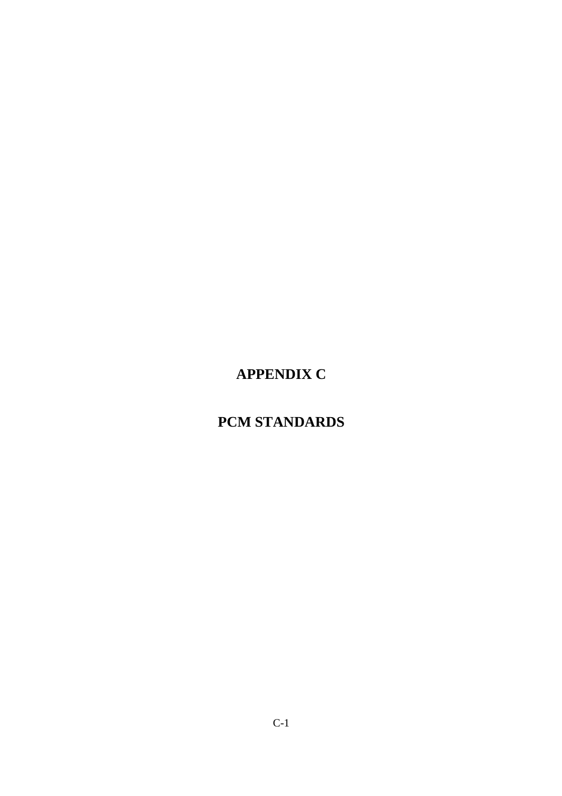# **APPENDIX C**

# **PCM STANDARDS**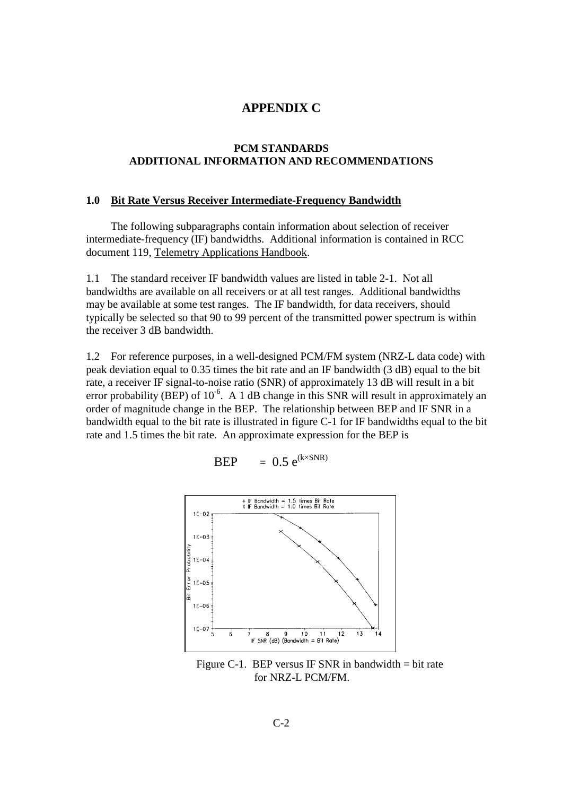## **APPENDIX C**

#### **PCM STANDARDS ADDITIONAL INFORMATION AND RECOMMENDATIONS**

#### **1.0 Bit Rate Versus Receiver Intermediate-Frequency Bandwidth**

 The following subparagraphs contain information about selection of receiver intermediate-frequency (IF) bandwidths. Additional information is contained in RCC document 119, Telemetry Applications Handbook.

1.1 The standard receiver IF bandwidth values are listed in table 2-1. Not all bandwidths are available on all receivers or at all test ranges. Additional bandwidths may be available at some test ranges. The IF bandwidth, for data receivers, should typically be selected so that 90 to 99 percent of the transmitted power spectrum is within the receiver 3 dB bandwidth.

1.2 For reference purposes, in a well-designed PCM/FM system (NRZ-L data code) with peak deviation equal to 0.35 times the bit rate and an IF bandwidth (3 dB) equal to the bit rate, a receiver IF signal-to-noise ratio (SNR) of approximately 13 dB will result in a bit error probability (BEP) of  $10^{-6}$ . A 1 dB change in this SNR will result in approximately an order of magnitude change in the BEP. The relationship between BEP and IF SNR in a bandwidth equal to the bit rate is illustrated in figure C-1 for IF bandwidths equal to the bit rate and 1.5 times the bit rate. An approximate expression for the BEP is



Figure C-1. BEP versus IF SNR in bandwidth  $=$  bit rate for NRZ-L PCM/FM.

**BEP** =  $0.5 e^{(k \times SNR)}$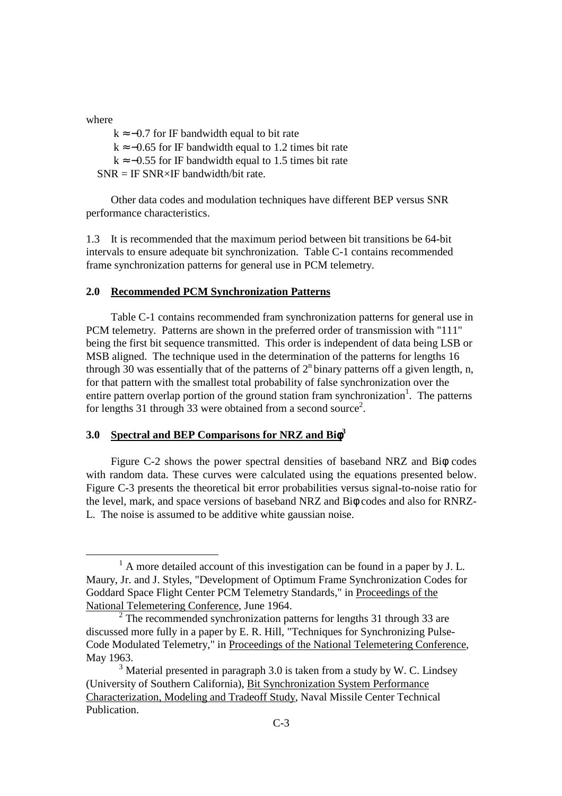where

-

 $k \approx -0.7$  for IF bandwidth equal to bit rate  $k \approx -0.65$  for IF bandwidth equal to 1.2 times bit rate  $k \approx -0.55$  for IF bandwidth equal to 1.5 times bit rate  $SNR = IF SNR \times IF$  bandwidth/bit rate.

 Other data codes and modulation techniques have different BEP versus SNR performance characteristics.

1.3 It is recommended that the maximum period between bit transitions be 64-bit intervals to ensure adequate bit synchronization. Table C-1 contains recommended frame synchronization patterns for general use in PCM telemetry.

#### **2.0 Recommended PCM Synchronization Patterns**

 Table C-1 contains recommended fram synchronization patterns for general use in PCM telemetry. Patterns are shown in the preferred order of transmission with "111" being the first bit sequence transmitted. This order is independent of data being LSB or MSB aligned. The technique used in the determination of the patterns for lengths 16 through 30 was essentially that of the patterns of  $2<sup>n</sup>$  binary patterns off a given length, n, for that pattern with the smallest total probability of false synchronization over the entire pattern overlap portion of the ground station fram synchronization<sup>1</sup>. The patterns for lengths 31 through 33 were obtained from a second source<sup>2</sup>.

### **3.0 Spectral and BEP Comparisons for NRZ and Bi**φ**<sup>3</sup>**

 Figure C-2 shows the power spectral densities of baseband NRZ and Biφ codes with random data. These curves were calculated using the equations presented below. Figure C-3 presents the theoretical bit error probabilities versus signal-to-noise ratio for the level, mark, and space versions of baseband NRZ and Biφ codes and also for RNRZ-L. The noise is assumed to be additive white gaussian noise.

<sup>&</sup>lt;sup>1</sup> A more detailed account of this investigation can be found in a paper by J. L. Maury, Jr. and J. Styles, "Development of Optimum Frame Synchronization Codes for Goddard Space Flight Center PCM Telemetry Standards," in Proceedings of the National Telemetering Conference, June 1964.

 $2$  The recommended synchronization patterns for lengths 31 through 33 are discussed more fully in a paper by E. R. Hill, "Techniques for Synchronizing Pulse-Code Modulated Telemetry," in Proceedings of the National Telemetering Conference, May 1963.

 $3$  Material presented in paragraph 3.0 is taken from a study by W. C. Lindsey (University of Southern California), Bit Synchronization System Performance Characterization, Modeling and Tradeoff Study, Naval Missile Center Technical Publication.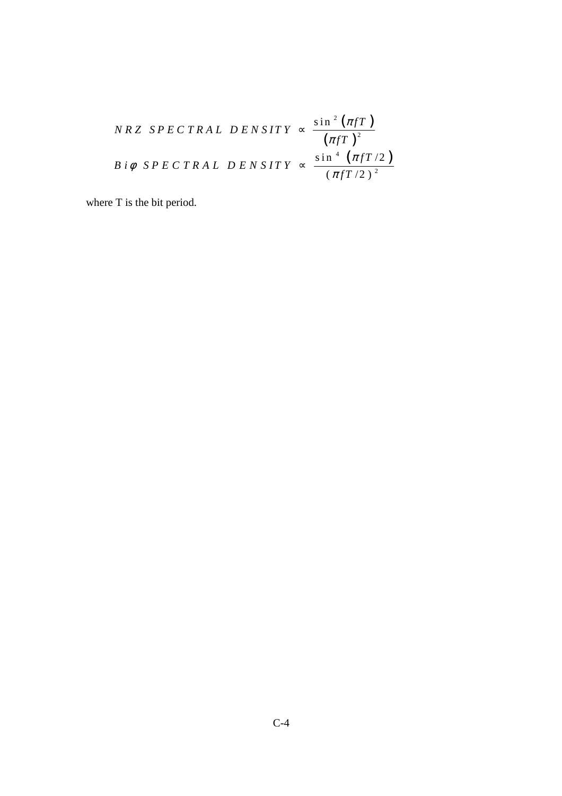$$
NRZ \, SPECTRAL \, DENSITY \, \propto \, \frac{\sin^2(\pi fT)}{(\pi fT)^2}
$$
\n
$$
B \, i\phi \, SPECTRAL \, DENSITY \, \propto \, \frac{\sin^4(\pi fT/2)}{(\pi fT/2)^2}
$$

where T is the bit period.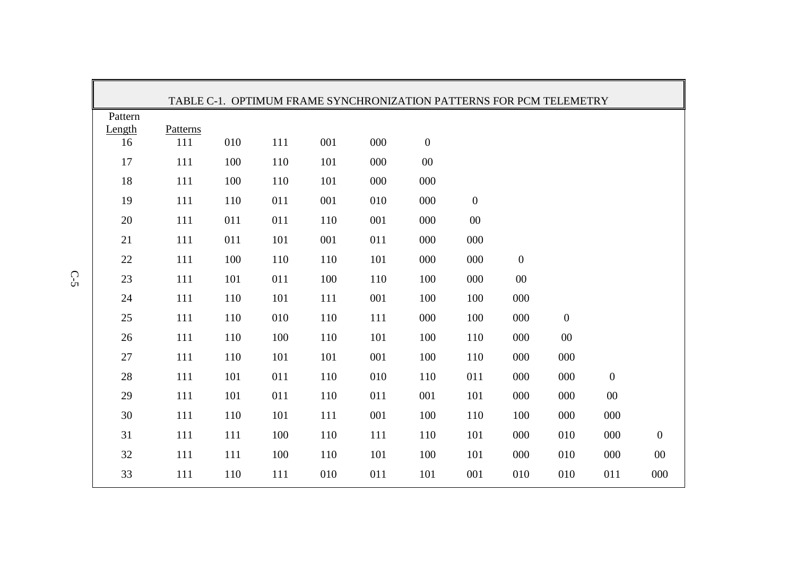|         |          |     |     |         | TABLE C-1. OPTIMUM FRAME SYNCHRONIZATION PATTERNS FOR PCM TELEMETRY |                  |                  |                  |                  |                  |                  |
|---------|----------|-----|-----|---------|---------------------------------------------------------------------|------------------|------------------|------------------|------------------|------------------|------------------|
| Pattern |          |     |     |         |                                                                     |                  |                  |                  |                  |                  |                  |
| Length  | Patterns |     |     |         |                                                                     |                  |                  |                  |                  |                  |                  |
| 16      | 111      | 010 | 111 | 001     | 000                                                                 | $\boldsymbol{0}$ |                  |                  |                  |                  |                  |
| 17      | 111      | 100 | 110 | 101     | 000                                                                 | $00\,$           |                  |                  |                  |                  |                  |
| 18      | 111      | 100 | 110 | 101     | 000                                                                 | 000              |                  |                  |                  |                  |                  |
| 19      | 111      | 110 | 011 | 001     | 010                                                                 | 000              | $\boldsymbol{0}$ |                  |                  |                  |                  |
| $20\,$  | $111\,$  | 011 | 011 | 110     | 001                                                                 | 000              | $00\,$           |                  |                  |                  |                  |
| 21      | 111      | 011 | 101 | 001     | 011                                                                 | 000              | 000              |                  |                  |                  |                  |
| 22      | 111      | 100 | 110 | 110     | 101                                                                 | 000              | 000              | $\boldsymbol{0}$ |                  |                  |                  |
| 23      | 111      | 101 | 011 | 100     | 110                                                                 | 100              | 000              | $00\,$           |                  |                  |                  |
| 24      | 111      | 110 | 101 | 111     | 001                                                                 | 100              | 100              | 000              |                  |                  |                  |
| 25      | 111      | 110 | 010 | 110     | 111                                                                 | 000              | 100              | 000              | $\boldsymbol{0}$ |                  |                  |
| 26      | 111      | 110 | 100 | 110     | 101                                                                 | 100              | 110              | 000              | $00\,$           |                  |                  |
| 27      | 111      | 110 | 101 | 101     | 001                                                                 | 100              | 110              | 000              | 000              |                  |                  |
| 28      | 111      | 101 | 011 | 110     | 010                                                                 | 110              | 011              | 000              | 000              | $\boldsymbol{0}$ |                  |
| 29      | 111      | 101 | 011 | 110     | 011                                                                 | 001              | 101              | 000              | 000              | $00\,$           |                  |
| 30      | $111\,$  | 110 | 101 | $111\,$ | 001                                                                 | 100              | 110              | 100              | 000              | 000              |                  |
| 31      | 111      | 111 | 100 | 110     | 111                                                                 | 110              | 101              | 000              | 010              | 000              | $\boldsymbol{0}$ |
| 32      | 111      | 111 | 100 | 110     | 101                                                                 | 100              | 101              | 000              | 010              | 000              | $00\,$           |
| 33      | 111      | 110 | 111 | 010     | 011                                                                 | 101              | 001              | 010              | 010              | 011              | 000              |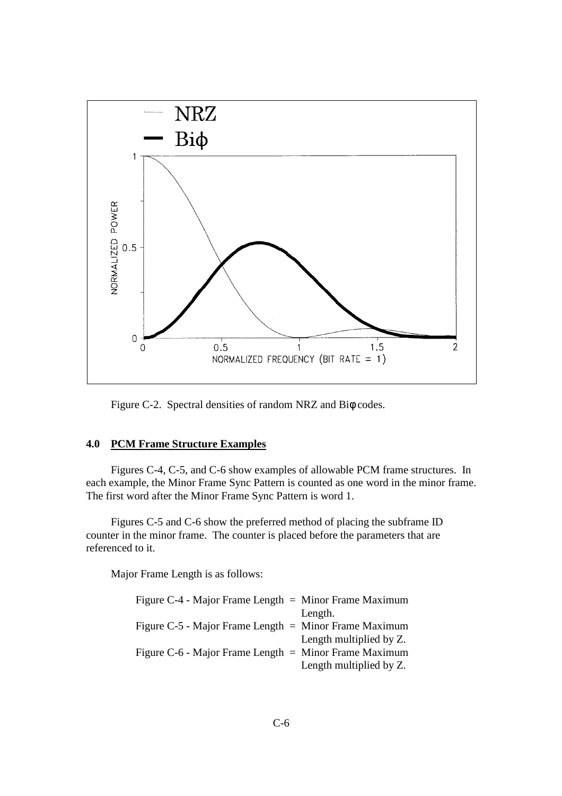

Figure C-2. Spectral densities of random NRZ and Biφ codes.

#### **4.0 PCM Frame Structure Examples**

 Figures C-4, C-5, and C-6 show examples of allowable PCM frame structures. In each example, the Minor Frame Sync Pattern is counted as one word in the minor frame. The first word after the Minor Frame Sync Pattern is word 1.

 Figures C-5 and C-6 show the preferred method of placing the subframe ID counter in the minor frame. The counter is placed before the parameters that are referenced to it.

Major Frame Length is as follows:

| Figure $C-4$ - Major Frame Length $=$ Minor Frame Maximum  |                         |
|------------------------------------------------------------|-------------------------|
|                                                            | Length.                 |
| Figure $C-5$ - Major Frame Length $=$ Minor Frame Maximum  |                         |
|                                                            | Length multiplied by Z. |
| Figure $C$ -6 - Major Frame Length $=$ Minor Frame Maximum |                         |
|                                                            | Length multiplied by Z. |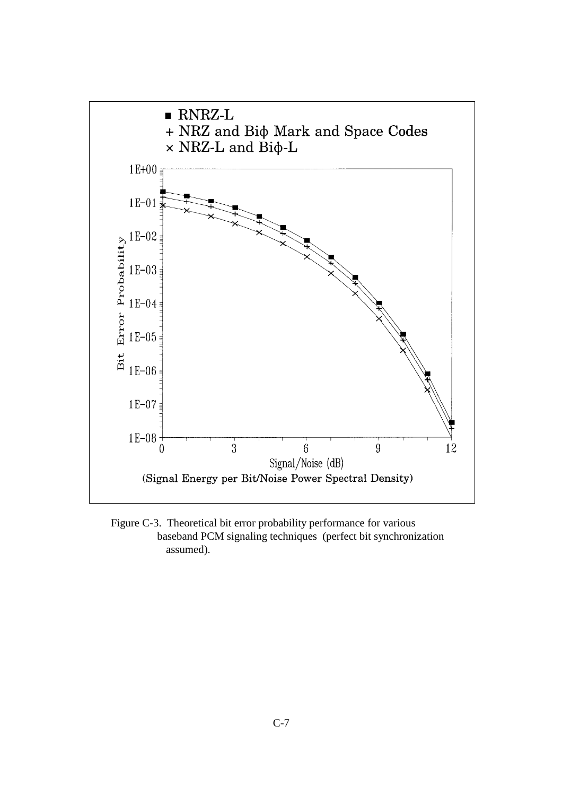

 Figure C-3. Theoretical bit error probability performance for various baseband PCM signaling techniques (perfect bit synchronization assumed).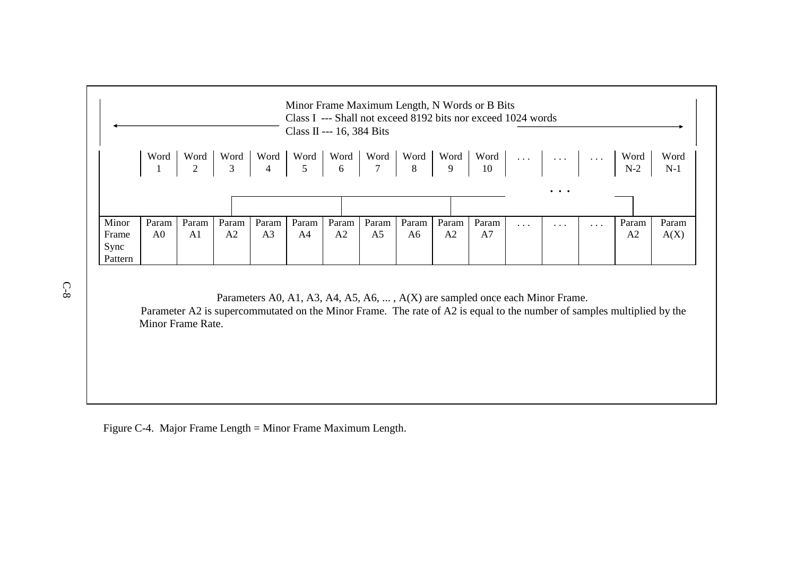|                                   |                         |                        |                       |                         | Class II --- 16, 384 Bits |                         |                                                                                                                                                                      |             |             | Minor Frame Maximum Length, N Words or B Bits<br>Class I --- Shall not exceed 8192 bits nor exceed 1024 words    |          |          |          |                         |               |
|-----------------------------------|-------------------------|------------------------|-----------------------|-------------------------|---------------------------|-------------------------|----------------------------------------------------------------------------------------------------------------------------------------------------------------------|-------------|-------------|------------------------------------------------------------------------------------------------------------------|----------|----------|----------|-------------------------|---------------|
|                                   | Word                    | Word<br>$\overline{2}$ | Word<br>$\frac{1}{3}$ |                         |                           |                         | $\begin{array}{ c c c c c c }\n\hline\n\text{Word} & \text{Word} & \text{Word} & \text{Word} & \text{Word} & \text{G} \\ \hline\n4 & 5 & 6 & 7 & 8 & 9\n\end{array}$ |             |             | Word $\begin{array}{ c c c c c }\n\hline\n10\n\end{array}$ $\begin{array}{ c c c }\n\hline\n\cdots\n\end{array}$ |          |          |          | Word<br>$N-2$           | Word<br>$N-1$ |
|                                   |                         |                        |                       |                         |                           |                         |                                                                                                                                                                      |             |             |                                                                                                                  |          | $\cdots$ |          |                         |               |
| Minor<br>Frame<br>Sync<br>Pattern | Param<br>A <sub>0</sub> | Param<br>A1            | Param<br>A2           | Param<br>A <sub>3</sub> | Param<br>A4               | Param<br>A <sub>2</sub> | Param<br>A <sub>5</sub>                                                                                                                                              | Param<br>A6 | Param<br>A2 | Param<br>A7                                                                                                      | $\cdots$ | $\cdots$ | $\ddots$ | Param<br>A <sub>2</sub> | Param<br>A(X) |

Parameters A0, A1, A3, A4, A5, A6, ... , A(X) are sampled once each Minor Frame. Parameter A2 is supercommutated on the Minor Frame. The rate of A2 is equal to the number of samples multiplied by the Minor Frame Rate.

Figure C-4. Major Frame Length = Minor Frame Maximum Length.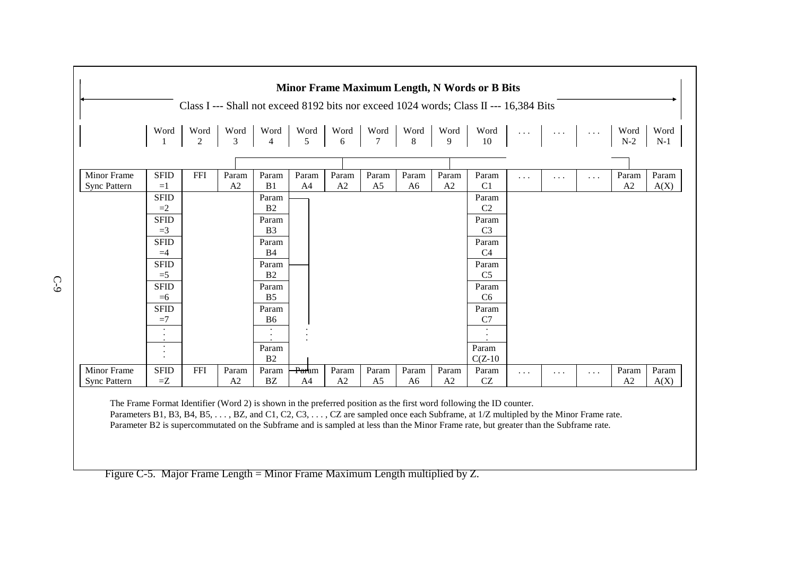|                     |             |            |       |                |                   |       |                |                |       | Class I --- Shall not exceed 8192 bits nor exceed 1024 words; Class II --- 16,384 Bits |          |           |           |                                                            |             |
|---------------------|-------------|------------|-------|----------------|-------------------|-------|----------------|----------------|-------|----------------------------------------------------------------------------------------|----------|-----------|-----------|------------------------------------------------------------|-------------|
|                     | Word        |            |       |                |                   |       |                |                |       |                                                                                        |          |           |           | $\begin{array}{c}\n\text{Word} \\ \text{N-2}\n\end{array}$ | Word<br>N-1 |
|                     |             |            |       |                |                   |       |                |                |       |                                                                                        |          |           |           |                                                            |             |
| Minor Frame         | <b>SFID</b> | <b>FFI</b> | Param | Param          | Param             | Param | Param          | Param          | Param | Param                                                                                  | $\cdots$ | $\ddotsc$ | $\cdots$  | Param                                                      | Param       |
| <b>Sync Pattern</b> | $=1$        |            | A2    | B1             | A <sub>4</sub>    | A2    | A <sub>5</sub> | A <sub>6</sub> | A2    | C <sub>1</sub>                                                                         |          |           |           | A2                                                         | A(X)        |
|                     | <b>SFID</b> |            |       | Param          |                   |       |                |                |       | Param                                                                                  |          |           |           |                                                            |             |
|                     | $=2$        |            |       | B2             |                   |       |                |                |       | C2                                                                                     |          |           |           |                                                            |             |
|                     | <b>SFID</b> |            |       | Param          |                   |       |                |                |       | Param                                                                                  |          |           |           |                                                            |             |
|                     | $=3$        |            |       | B <sub>3</sub> |                   |       |                |                |       | C <sub>3</sub>                                                                         |          |           |           |                                                            |             |
|                     | <b>SFID</b> |            |       | Param          |                   |       |                |                |       | Param                                                                                  |          |           |           |                                                            |             |
|                     | $=4$        |            |       | <b>B4</b>      |                   |       |                |                |       | C <sub>4</sub>                                                                         |          |           |           |                                                            |             |
|                     | <b>SFID</b> |            |       | Param          |                   |       |                |                |       | Param                                                                                  |          |           |           |                                                            |             |
|                     | $=5$        |            |       | B2             |                   |       |                |                |       | C <sub>5</sub>                                                                         |          |           |           |                                                            |             |
|                     | <b>SFID</b> |            |       | Param          |                   |       |                |                |       | Param                                                                                  |          |           |           |                                                            |             |
|                     | $=6$        |            |       | B <sub>5</sub> |                   |       |                |                |       | C <sub>6</sub>                                                                         |          |           |           |                                                            |             |
|                     | <b>SFID</b> |            |       | Param          |                   |       |                |                |       | Param                                                                                  |          |           |           |                                                            |             |
|                     | $\equiv$ 7  |            |       | B <sub>6</sub> |                   |       |                |                |       | C7                                                                                     |          |           |           |                                                            |             |
|                     | $\bullet$   |            |       |                |                   |       |                |                |       |                                                                                        |          |           |           |                                                            |             |
|                     |             |            |       | Param          |                   |       |                |                |       | Param                                                                                  |          |           |           |                                                            |             |
|                     | $\bullet$   |            |       | B2             |                   |       |                |                |       | $C(Z-10)$                                                                              |          |           |           |                                                            |             |
| Minor Frame         | <b>SFID</b> | FFI        | Param | Param          | <del>Para</del> m | Param | Param          | Param          | Param | Param                                                                                  | $\cdots$ | $\cdots$  | $\ddotsc$ | Param                                                      | Param       |
| <b>Sync Pattern</b> | $=Z$        |            | A2    | <b>BZ</b>      | A <sub>4</sub>    | A2    | A <sub>5</sub> | A <sub>6</sub> | A2    | <b>CZ</b>                                                                              |          |           |           | A <sub>2</sub>                                             | A(X)        |

Parameter B2 is supercommutated on the Subframe and is sampled at less than the Minor Frame rate, but greater than the Subframe rate.

Figure C-5. Major Frame Length = Minor Frame Maximum Length multiplied by Z.

C-9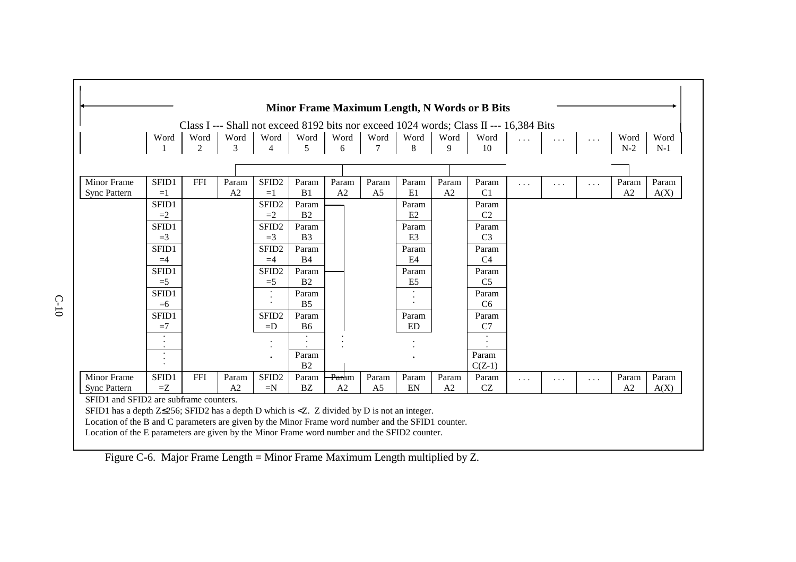|                                                                                                       |                |            |           |                           |                         |                   |                        |                         |                | <b>Minor Frame Maximum Length, N Words or B Bits</b>                                   |   |                                                                   |                      |               |               |
|-------------------------------------------------------------------------------------------------------|----------------|------------|-----------|---------------------------|-------------------------|-------------------|------------------------|-------------------------|----------------|----------------------------------------------------------------------------------------|---|-------------------------------------------------------------------|----------------------|---------------|---------------|
|                                                                                                       |                |            |           |                           |                         |                   |                        |                         |                | Class I --- Shall not exceed 8192 bits nor exceed 1024 words; Class II --- 16,384 Bits |   |                                                                   |                      |               |               |
|                                                                                                       | Word           | Word<br>2  | Word<br>3 | Word<br>$\overline{4}$    | Word<br>5               | Word<br>6         | Word<br>$\overline{7}$ | Word<br>8               | Word<br>9      | Word<br>10                                                                             |   | $\left\vert \ldots\right\vert$ and $\left\vert \ldots\right\vert$ | $\sim$ $\sim$ $\sim$ | Word<br>$N-2$ | Word<br>$N-1$ |
|                                                                                                       |                |            |           |                           |                         |                   |                        |                         |                |                                                                                        |   |                                                                   |                      |               |               |
| <b>Minor Frame</b>                                                                                    | SFID1          | <b>FFI</b> | Param     | SFID <sub>2</sub>         | Param                   | Param             | Param                  | Param                   | Param          | Param                                                                                  | . | $\cdots$                                                          | $\cdots$             | Param         | Param         |
| <b>Sync Pattern</b>                                                                                   | $=1$           |            | A2        | $=1$                      | B1                      | A2                | A <sub>5</sub>         | E1                      | A <sub>2</sub> | C <sub>1</sub>                                                                         |   |                                                                   |                      | A2            | A(X)          |
|                                                                                                       | SFID1          |            |           | SFID <sub>2</sub>         | Param                   |                   |                        | Param                   |                | Param                                                                                  |   |                                                                   |                      |               |               |
|                                                                                                       | $=2$           |            |           | $=2$                      | B <sub>2</sub>          |                   |                        | E2                      |                | C2                                                                                     |   |                                                                   |                      |               |               |
|                                                                                                       | SFID1<br>$=$ 3 |            |           | SFID <sub>2</sub><br>$=3$ | Param<br>B <sub>3</sub> |                   |                        | Param<br>E <sub>3</sub> |                | Param<br>C <sub>3</sub>                                                                |   |                                                                   |                      |               |               |
|                                                                                                       |                |            |           |                           |                         |                   |                        |                         |                |                                                                                        |   |                                                                   |                      |               |               |
|                                                                                                       | SFID1<br>$=4$  |            |           | SFID <sub>2</sub><br>$=4$ | Param<br><b>B4</b>      |                   |                        | Param<br>E4             |                | Param<br>C <sub>4</sub>                                                                |   |                                                                   |                      |               |               |
|                                                                                                       | SFID1          |            |           | SFID <sub>2</sub>         | Param                   |                   |                        | Param                   |                | Param                                                                                  |   |                                                                   |                      |               |               |
|                                                                                                       | $=5$           |            |           | $=5$                      | B <sub>2</sub>          |                   |                        | E <sub>5</sub>          |                | C <sub>5</sub>                                                                         |   |                                                                   |                      |               |               |
|                                                                                                       | SFID1          |            |           |                           | Param                   |                   |                        |                         |                | Param                                                                                  |   |                                                                   |                      |               |               |
|                                                                                                       | $=6$           |            |           |                           | B <sub>5</sub>          |                   |                        |                         |                | C <sub>6</sub>                                                                         |   |                                                                   |                      |               |               |
|                                                                                                       | SFID1          |            |           | SFID <sub>2</sub>         | Param                   |                   |                        | Param                   |                | Param                                                                                  |   |                                                                   |                      |               |               |
|                                                                                                       | $=7$           |            |           | $=$ D                     | <b>B6</b>               |                   |                        | ED                      |                | C7                                                                                     |   |                                                                   |                      |               |               |
|                                                                                                       |                |            |           |                           |                         |                   |                        |                         |                |                                                                                        |   |                                                                   |                      |               |               |
|                                                                                                       |                |            |           |                           |                         |                   |                        |                         |                |                                                                                        |   |                                                                   |                      |               |               |
|                                                                                                       |                |            |           |                           | Param<br>B <sub>2</sub> |                   |                        |                         |                | Param<br>$C(Z-1)$                                                                      |   |                                                                   |                      |               |               |
| <b>Minor Frame</b>                                                                                    | SFID1          | <b>FFI</b> | Param     | SFID <sub>2</sub>         | Param                   | <del>Par</del> am | Param                  | Param                   | Param          | Param                                                                                  |   |                                                                   |                      | Param         | Param         |
| <b>Sync Pattern</b>                                                                                   | $=Z$           |            | A2        | $=N$                      | BZ                      | A2                | A <sub>5</sub>         | EN                      | A2             | $\operatorname{CZ}$                                                                    | . | $\cdots$                                                          | $\cdots$             | A2            | A(X)          |
| SFID1 and SFID2 are subframe counters.                                                                |                |            |           |                           |                         |                   |                        |                         |                |                                                                                        |   |                                                                   |                      |               |               |
| SFID1 has a depth $Z\leq$ 256; SFID2 has a depth D which is < $Z$ . Z divided by D is not an integer. |                |            |           |                           |                         |                   |                        |                         |                |                                                                                        |   |                                                                   |                      |               |               |
| Location of the B and C parameters are given by the Minor Frame word number and the SFID1 counter.    |                |            |           |                           |                         |                   |                        |                         |                |                                                                                        |   |                                                                   |                      |               |               |
| Location of the E parameters are given by the Minor Frame word number and the SFID2 counter.          |                |            |           |                           |                         |                   |                        |                         |                |                                                                                        |   |                                                                   |                      |               |               |

Figure C-6. Major Frame Length = Minor Frame Maximum Length multiplied by Z.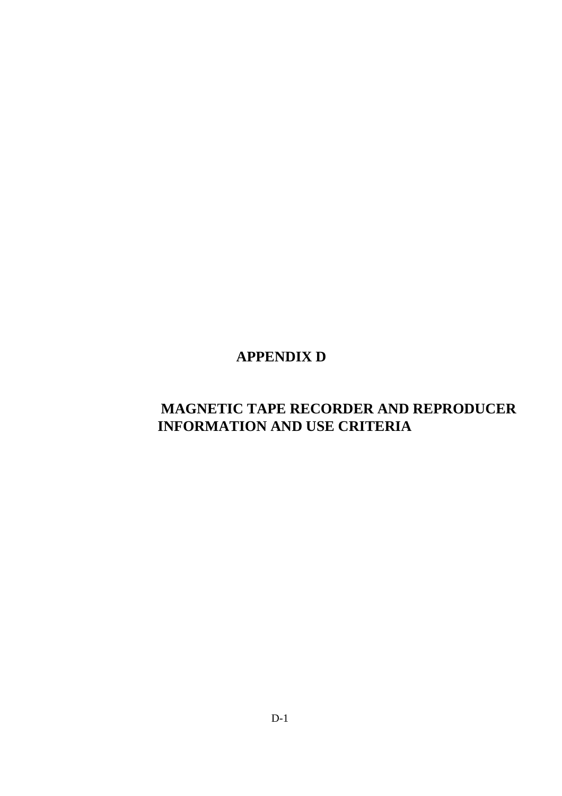# **APPENDIX D**

# **MAGNETIC TAPE RECORDER AND REPRODUCER INFORMATION AND USE CRITERIA**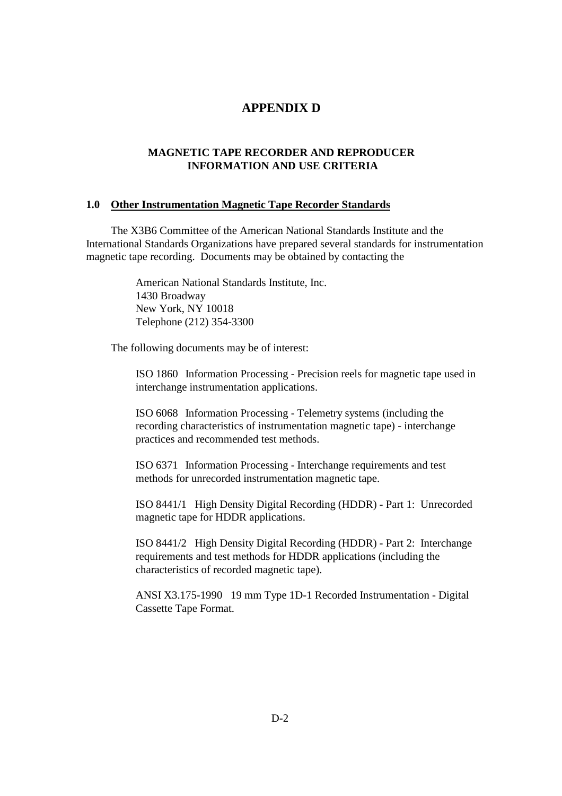# **APPENDIX D**

#### **MAGNETIC TAPE RECORDER AND REPRODUCER INFORMATION AND USE CRITERIA**

#### **1.0 Other Instrumentation Magnetic Tape Recorder Standards**

 The X3B6 Committee of the American National Standards Institute and the International Standards Organizations have prepared several standards for instrumentation magnetic tape recording. Documents may be obtained by contacting the

> American National Standards Institute, Inc. 1430 Broadway New York, NY 10018 Telephone (212) 354-3300

The following documents may be of interest:

 ISO 1860 Information Processing - Precision reels for magnetic tape used in interchange instrumentation applications.

 ISO 6068 Information Processing - Telemetry systems (including the recording characteristics of instrumentation magnetic tape) - interchange practices and recommended test methods.

 ISO 6371 Information Processing - Interchange requirements and test methods for unrecorded instrumentation magnetic tape.

 ISO 8441/1 High Density Digital Recording (HDDR) - Part 1: Unrecorded magnetic tape for HDDR applications.

 ISO 8441/2 High Density Digital Recording (HDDR) - Part 2: Interchange requirements and test methods for HDDR applications (including the characteristics of recorded magnetic tape).

 ANSI X3.175-1990 19 mm Type 1D-1 Recorded Instrumentation - Digital Cassette Tape Format.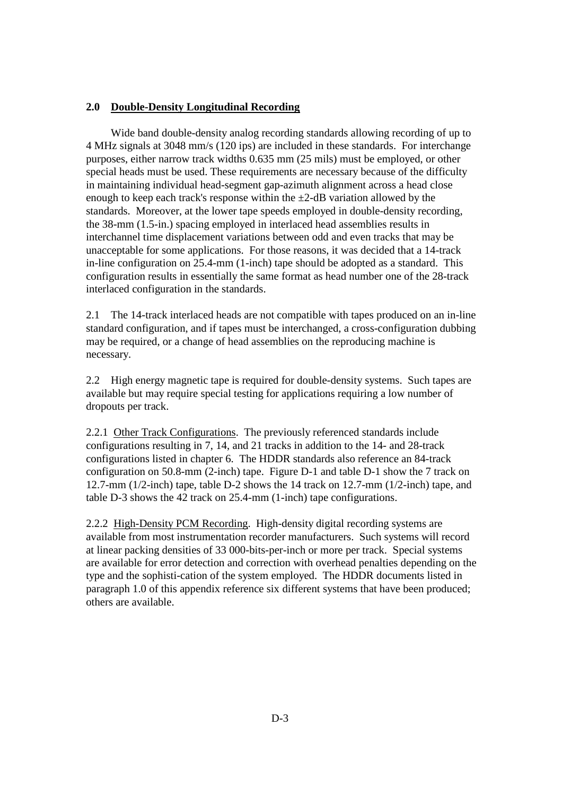#### **2.0 Double-Density Longitudinal Recording**

 Wide band double-density analog recording standards allowing recording of up to 4 MHz signals at 3048 mm/s (120 ips) are included in these standards. For interchange purposes, either narrow track widths 0.635 mm (25 mils) must be employed, or other special heads must be used. These requirements are necessary because of the difficulty in maintaining individual head-segment gap-azimuth alignment across a head close enough to keep each track's response within the  $\pm$ 2-dB variation allowed by the standards. Moreover, at the lower tape speeds employed in double-density recording, the 38-mm (1.5-in.) spacing employed in interlaced head assemblies results in interchannel time displacement variations between odd and even tracks that may be unacceptable for some applications. For those reasons, it was decided that a 14-track in-line configuration on 25.4-mm (1-inch) tape should be adopted as a standard. This configuration results in essentially the same format as head number one of the 28-track interlaced configuration in the standards.

2.1 The 14-track interlaced heads are not compatible with tapes produced on an in-line standard configuration, and if tapes must be interchanged, a cross-configuration dubbing may be required, or a change of head assemblies on the reproducing machine is necessary.

2.2 High energy magnetic tape is required for double-density systems. Such tapes are available but may require special testing for applications requiring a low number of dropouts per track.

2.2.1 Other Track Configurations. The previously referenced standards include configurations resulting in 7, 14, and 21 tracks in addition to the 14- and 28-track configurations listed in chapter 6. The HDDR standards also reference an 84-track configuration on 50.8-mm (2-inch) tape. Figure D-1 and table D-1 show the 7 track on 12.7-mm (1/2-inch) tape, table D-2 shows the 14 track on 12.7-mm (1/2-inch) tape, and table D-3 shows the 42 track on 25.4-mm (1-inch) tape configurations.

2.2.2 High-Density PCM Recording. High-density digital recording systems are available from most instrumentation recorder manufacturers. Such systems will record at linear packing densities of 33 000-bits-per-inch or more per track. Special systems are available for error detection and correction with overhead penalties depending on the type and the sophisti-cation of the system employed. The HDDR documents listed in paragraph 1.0 of this appendix reference six different systems that have been produced; others are available.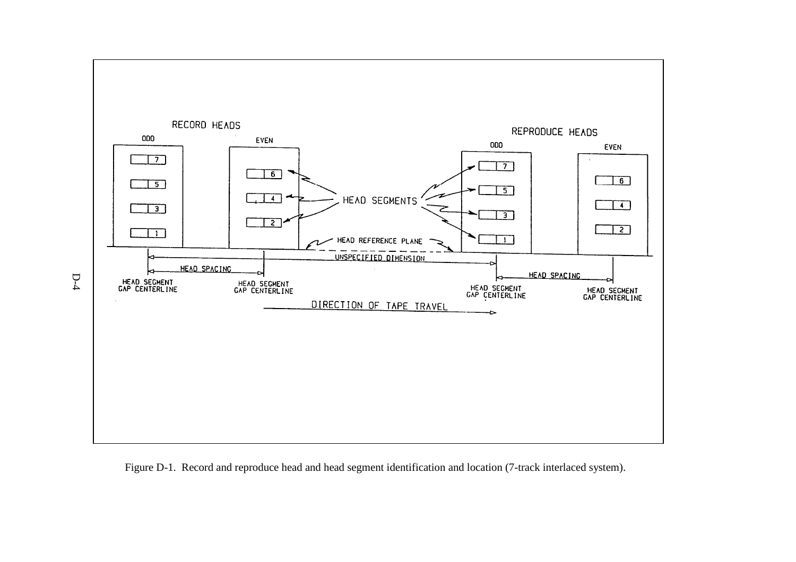

Figure D-1. Record and reproduce head and head segment identification and location (7-track interlaced system).

D-4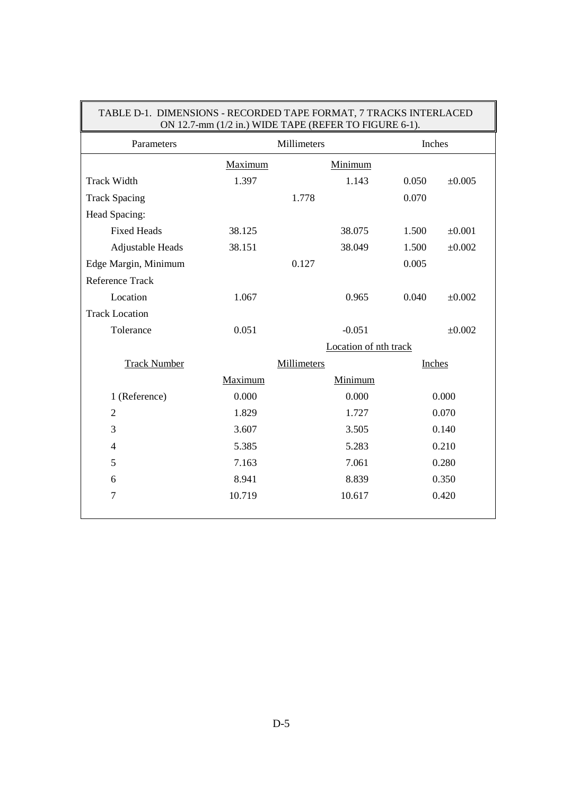| LINIONS - RECORDED THE ET ORIGIN, FIRACIS INTERENCED<br>ON 12.7-mm (1/2 in.) WIDE TAPE (REFER TO FIGURE 6-1). |         |                       |        |             |  |  |  |  |  |
|---------------------------------------------------------------------------------------------------------------|---------|-----------------------|--------|-------------|--|--|--|--|--|
| Parameters                                                                                                    |         | Millimeters           | Inches |             |  |  |  |  |  |
|                                                                                                               | Maximum | Minimum               |        |             |  |  |  |  |  |
| <b>Track Width</b>                                                                                            | 1.397   | 1.143                 | 0.050  | ±0.005      |  |  |  |  |  |
| <b>Track Spacing</b>                                                                                          |         | 1.778                 | 0.070  |             |  |  |  |  |  |
| Head Spacing:                                                                                                 |         |                       |        |             |  |  |  |  |  |
| <b>Fixed Heads</b>                                                                                            | 38.125  | 38.075                | 1.500  | $\pm 0.001$ |  |  |  |  |  |
| Adjustable Heads                                                                                              | 38.151  | 38.049                | 1.500  | $\pm 0.002$ |  |  |  |  |  |
| Edge Margin, Minimum                                                                                          | 0.127   | 0.005                 |        |             |  |  |  |  |  |
| Reference Track                                                                                               |         |                       |        |             |  |  |  |  |  |
| Location                                                                                                      | 1.067   | 0.965                 | 0.040  | $\pm 0.002$ |  |  |  |  |  |
| <b>Track Location</b>                                                                                         |         |                       |        |             |  |  |  |  |  |
| Tolerance                                                                                                     | 0.051   | $-0.051$              |        | $\pm 0.002$ |  |  |  |  |  |
|                                                                                                               |         | Location of nth track |        |             |  |  |  |  |  |
| <b>Track Number</b>                                                                                           |         | <b>Millimeters</b>    | Inches |             |  |  |  |  |  |
|                                                                                                               | Maximum | Minimum               |        |             |  |  |  |  |  |
| 1 (Reference)                                                                                                 | 0.000   | 0.000                 |        | 0.000       |  |  |  |  |  |
| $\overline{2}$                                                                                                | 1.829   | 1.727                 |        | 0.070       |  |  |  |  |  |
| 3                                                                                                             | 3.607   | 3.505                 |        | 0.140       |  |  |  |  |  |
| $\overline{4}$                                                                                                | 5.385   | 5.283                 |        | 0.210       |  |  |  |  |  |
| 5                                                                                                             | 7.163   | 7.061                 |        | 0.280       |  |  |  |  |  |
| 6                                                                                                             | 8.941   | 8.839                 |        | 0.350       |  |  |  |  |  |
| 7                                                                                                             | 10.719  | 10.617                |        | 0.420       |  |  |  |  |  |
|                                                                                                               |         |                       |        |             |  |  |  |  |  |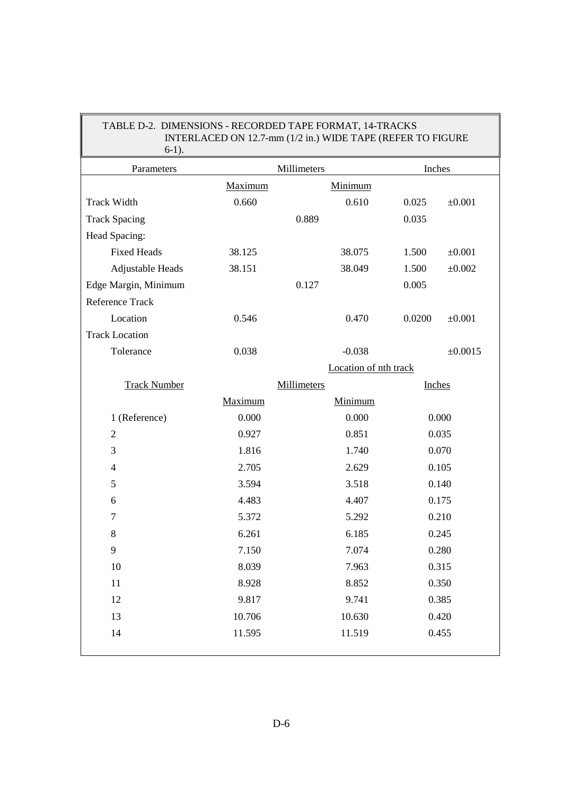| TABLE D-2. DIMENSIONS - RECORDED TAPE FORMAT, 14-TRACKS<br>INTERLACED ON 12.7-mm (1/2 in.) WIDE TAPE (REFER TO FIGURE<br>$6-1$ ). |             |                       |        |             |  |  |  |  |  |  |
|-----------------------------------------------------------------------------------------------------------------------------------|-------------|-----------------------|--------|-------------|--|--|--|--|--|--|
| Parameters                                                                                                                        |             | Millimeters           | Inches |             |  |  |  |  |  |  |
|                                                                                                                                   | Maximum     | Minimum               |        |             |  |  |  |  |  |  |
| <b>Track Width</b>                                                                                                                | 0.660       | 0.610                 | 0.025  | $\pm 0.001$ |  |  |  |  |  |  |
| <b>Track Spacing</b>                                                                                                              |             | 0.889                 | 0.035  |             |  |  |  |  |  |  |
| Head Spacing:                                                                                                                     |             |                       |        |             |  |  |  |  |  |  |
| <b>Fixed Heads</b>                                                                                                                | 38.125      | 38.075                | 1.500  | $\pm 0.001$ |  |  |  |  |  |  |
| Adjustable Heads                                                                                                                  | 38.151      | 38.049                | 1.500  | $\pm 0.002$ |  |  |  |  |  |  |
| Edge Margin, Minimum                                                                                                              |             | 0.127                 | 0.005  |             |  |  |  |  |  |  |
| Reference Track                                                                                                                   |             |                       |        |             |  |  |  |  |  |  |
| Location                                                                                                                          | 0.546       | 0.470                 | 0.0200 | $\pm 0.001$ |  |  |  |  |  |  |
| <b>Track Location</b>                                                                                                             |             |                       |        |             |  |  |  |  |  |  |
| Tolerance                                                                                                                         | 0.038       | $-0.038$              |        | ±0.0015     |  |  |  |  |  |  |
|                                                                                                                                   |             | Location of nth track |        |             |  |  |  |  |  |  |
| <b>Track Number</b>                                                                                                               | Millimeters |                       | Inches |             |  |  |  |  |  |  |
|                                                                                                                                   | Maximum     | Minimum               |        |             |  |  |  |  |  |  |
| 1 (Reference)                                                                                                                     | 0.000       | 0.000                 |        | 0.000       |  |  |  |  |  |  |
| $\overline{2}$                                                                                                                    | 0.927       | 0.851                 | 0.035  |             |  |  |  |  |  |  |
| 3                                                                                                                                 | 1.816       | 1.740                 |        | 0.070       |  |  |  |  |  |  |
| $\overline{4}$                                                                                                                    | 2.705       | 2.629                 | 0.105  |             |  |  |  |  |  |  |
| 5                                                                                                                                 | 3.594       | 3.518                 |        | 0.140       |  |  |  |  |  |  |
| 6                                                                                                                                 | 4.483       | 4.407                 |        | 0.175       |  |  |  |  |  |  |
| 7                                                                                                                                 | 5.372       | 5.292                 |        | 0.210       |  |  |  |  |  |  |
| 8                                                                                                                                 | 6.261       | 6.185                 | 0.245  |             |  |  |  |  |  |  |
| 9                                                                                                                                 | 7.150       | 7.074                 |        | 0.280       |  |  |  |  |  |  |
| 10                                                                                                                                | 8.039       | 7.963                 | 0.315  |             |  |  |  |  |  |  |
| 11                                                                                                                                | 8.928       | 8.852                 | 0.350  |             |  |  |  |  |  |  |
| 12                                                                                                                                | 9.817       | 9.741                 | 0.385  |             |  |  |  |  |  |  |
| 13                                                                                                                                | 10.706      | 10.630                | 0.420  |             |  |  |  |  |  |  |
| 14                                                                                                                                | 11.595      | 11.519                | 0.455  |             |  |  |  |  |  |  |
|                                                                                                                                   |             |                       |        |             |  |  |  |  |  |  |

# TABLE D-2. DIMENSIONS - BECOPDED TAPE FORMAT, 14 TRACKS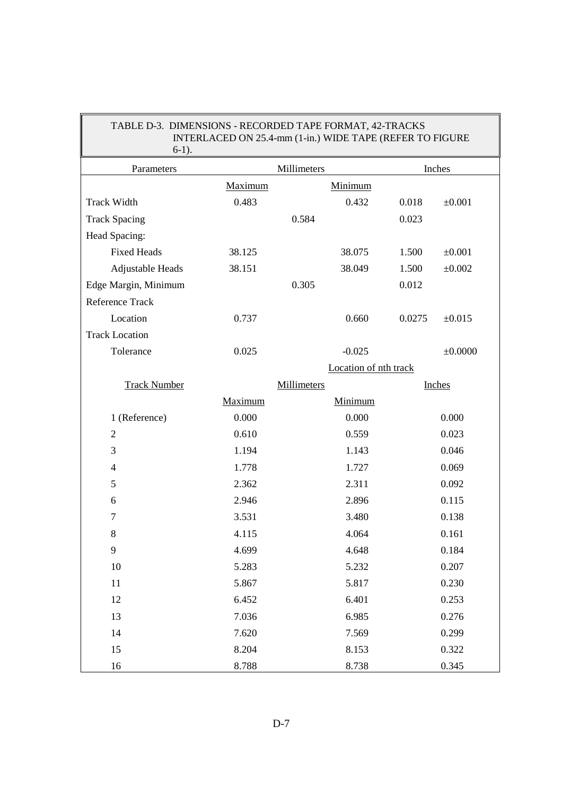| $6-1$ ).              |         |                       |        |             |  |  |
|-----------------------|---------|-----------------------|--------|-------------|--|--|
| Parameters            |         | Millimeters           |        | Inches      |  |  |
|                       | Maximum | Minimum               |        |             |  |  |
| <b>Track Width</b>    | 0.483   | 0.432                 | 0.018  | ±0.001      |  |  |
| <b>Track Spacing</b>  |         | 0.584                 | 0.023  |             |  |  |
| Head Spacing:         |         |                       |        |             |  |  |
| <b>Fixed Heads</b>    | 38.125  | 38.075                | 1.500  | $\pm 0.001$ |  |  |
| Adjustable Heads      | 38.151  | 38.049                | 1.500  | ±0.002      |  |  |
| Edge Margin, Minimum  |         | 0.305                 | 0.012  |             |  |  |
| Reference Track       |         |                       |        |             |  |  |
| Location              | 0.737   | 0.660                 | 0.0275 | ±0.015      |  |  |
| <b>Track Location</b> |         |                       |        |             |  |  |
| Tolerance             | 0.025   | $-0.025$              |        | ±0.0000     |  |  |
|                       |         | Location of nth track |        |             |  |  |
| <b>Track Number</b>   |         | Millimeters           |        | Inches      |  |  |
|                       | Maximum | Minimum               |        |             |  |  |
| 1 (Reference)         | 0.000   | 0.000                 |        | 0.000       |  |  |
| $\overline{2}$        | 0.610   | 0.559                 |        | 0.023       |  |  |
| $\mathfrak{Z}$        | 1.194   | 1.143                 |        | 0.046       |  |  |
| $\overline{4}$        | 1.778   | 1.727                 |        | 0.069       |  |  |
| 5                     | 2.362   | 2.311                 |        | 0.092       |  |  |
| 6                     | 2.946   | 2.896                 |        | 0.115       |  |  |
| 7                     | 3.531   | 3.480                 |        | 0.138       |  |  |
| 8                     | 4.115   | 4.064                 |        | 0.161       |  |  |
| 9                     | 4.699   | 4.648                 |        | 0.184       |  |  |
| 10                    | 5.283   | 5.232                 |        | 0.207       |  |  |
| $11\,$                | 5.867   | 5.817                 |        | 0.230       |  |  |
| 12                    | 6.452   | 6.401                 |        | 0.253       |  |  |
| 13                    | 7.036   | 6.985                 |        | 0.276       |  |  |
| 14                    | 7.620   | 7.569                 |        | 0.299       |  |  |
| 15                    | 8.204   | 8.153                 |        | 0.322       |  |  |
| 16                    | 8.788   | 8.738                 |        | 0.345       |  |  |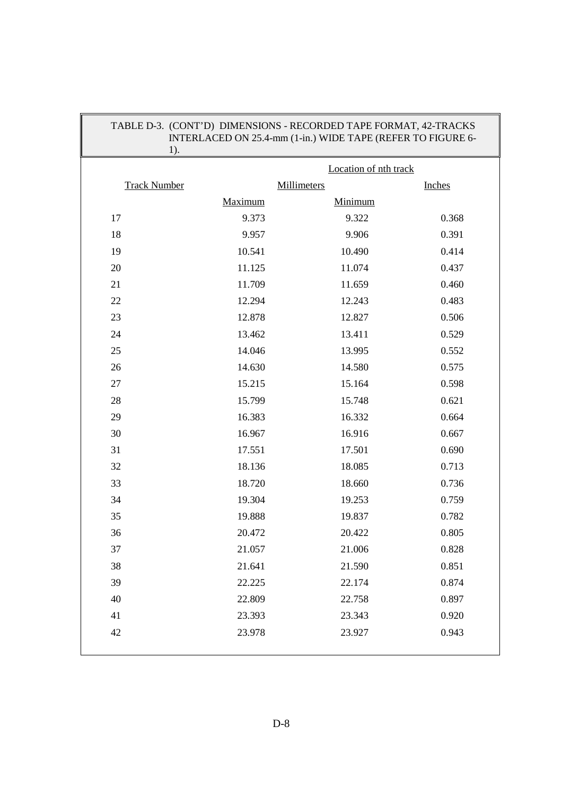| $1$ ).              |         | INTERLACED ON 25.4-mm (1-in.) WIDE TAPE (REFER TO FIGURE 6- |               |
|---------------------|---------|-------------------------------------------------------------|---------------|
|                     |         | Location of nth track                                       |               |
| <b>Track Number</b> |         | Millimeters                                                 | <b>Inches</b> |
|                     | Maximum | Minimum                                                     |               |
| 17                  | 9.373   | 9.322                                                       | 0.368         |
| 18                  | 9.957   | 9.906                                                       | 0.391         |
| 19                  | 10.541  | 10.490                                                      | 0.414         |
| 20                  | 11.125  | 11.074                                                      | 0.437         |
| 21                  | 11.709  | 11.659                                                      | 0.460         |
| 22                  | 12.294  | 12.243                                                      | 0.483         |
| 23                  | 12.878  | 12.827                                                      | 0.506         |
| 24                  | 13.462  | 13.411                                                      | 0.529         |
| 25                  | 14.046  | 13.995                                                      | 0.552         |
| 26                  | 14.630  | 14.580                                                      | 0.575         |
| $27\,$              | 15.215  | 15.164                                                      | 0.598         |
| 28                  | 15.799  | 15.748                                                      | 0.621         |
| 29                  | 16.383  | 16.332                                                      | 0.664         |
| 30                  | 16.967  | 16.916                                                      | 0.667         |
| 31                  | 17.551  | 17.501                                                      | 0.690         |
| 32                  | 18.136  | 18.085                                                      | 0.713         |
| 33                  | 18.720  | 18.660                                                      | 0.736         |
| 34                  | 19.304  | 19.253                                                      | 0.759         |
| 35                  | 19.888  | 19.837                                                      | 0.782         |
| 36                  | 20.472  | 20.422                                                      | 0.805         |
| 37                  | 21.057  | 21.006                                                      | 0.828         |
| 38                  | 21.641  | 21.590                                                      | 0.851         |
| 39                  | 22.225  | 22.174                                                      | 0.874         |
| 40                  | 22.809  | 22.758                                                      | 0.897         |
| 41                  | 23.393  | 23.343                                                      | 0.920         |
| 42                  | 23.978  | 23.927                                                      | 0.943         |
|                     |         |                                                             |               |

# TABLE D-3. (CONT'D) DIMENSIONS - RECORDED TAPE FORMAT, 42-TRACKS

 $\parallel$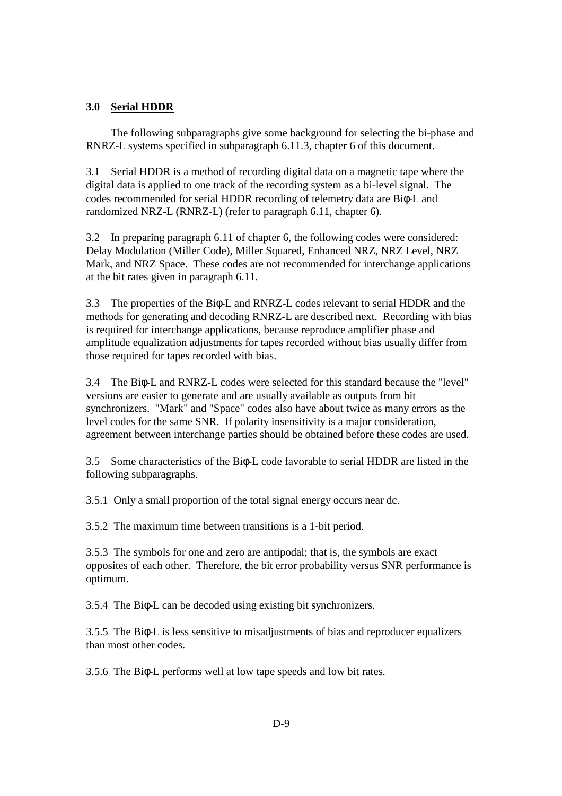#### **3.0 Serial HDDR**

 The following subparagraphs give some background for selecting the bi-phase and RNRZ-L systems specified in subparagraph 6.11.3, chapter 6 of this document.

3.1 Serial HDDR is a method of recording digital data on a magnetic tape where the digital data is applied to one track of the recording system as a bi-level signal. The codes recommended for serial HDDR recording of telemetry data are Biφ-L and randomized NRZ-L (RNRZ-L) (refer to paragraph 6.11, chapter 6).

3.2 In preparing paragraph 6.11 of chapter 6, the following codes were considered: Delay Modulation (Miller Code), Miller Squared, Enhanced NRZ, NRZ Level, NRZ Mark, and NRZ Space. These codes are not recommended for interchange applications at the bit rates given in paragraph 6.11.

3.3 The properties of the Biφ-L and RNRZ-L codes relevant to serial HDDR and the methods for generating and decoding RNRZ-L are described next. Recording with bias is required for interchange applications, because reproduce amplifier phase and amplitude equalization adjustments for tapes recorded without bias usually differ from those required for tapes recorded with bias.

3.4 The Biφ-L and RNRZ-L codes were selected for this standard because the "level" versions are easier to generate and are usually available as outputs from bit synchronizers. "Mark" and "Space" codes also have about twice as many errors as the level codes for the same SNR. If polarity insensitivity is a major consideration, agreement between interchange parties should be obtained before these codes are used.

3.5 Some characteristics of the Biφ-L code favorable to serial HDDR are listed in the following subparagraphs.

3.5.1 Only a small proportion of the total signal energy occurs near dc.

3.5.2 The maximum time between transitions is a 1-bit period.

3.5.3 The symbols for one and zero are antipodal; that is, the symbols are exact opposites of each other. Therefore, the bit error probability versus SNR performance is optimum.

3.5.4 The Biφ-L can be decoded using existing bit synchronizers.

3.5.5 The Biφ-L is less sensitive to misadjustments of bias and reproducer equalizers than most other codes.

3.5.6 The Biφ-L performs well at low tape speeds and low bit rates.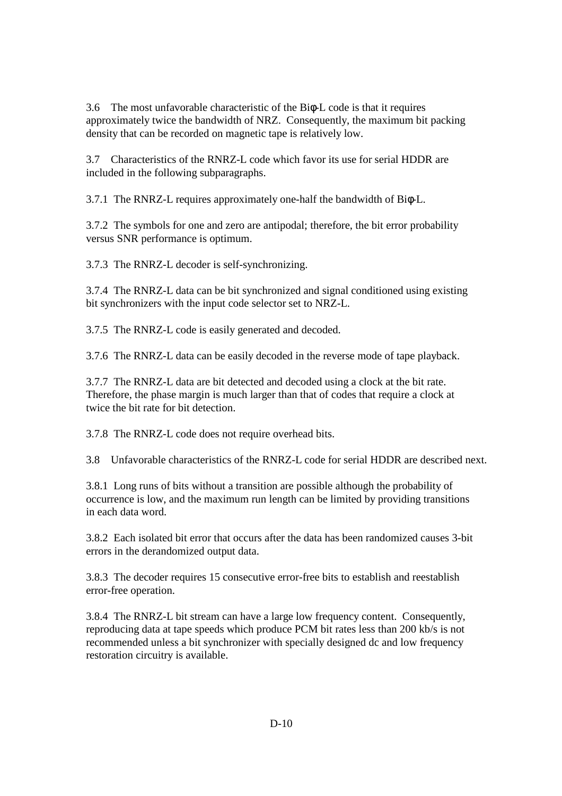3.6 The most unfavorable characteristic of the Biφ-L code is that it requires approximately twice the bandwidth of NRZ. Consequently, the maximum bit packing density that can be recorded on magnetic tape is relatively low.

3.7 Characteristics of the RNRZ-L code which favor its use for serial HDDR are included in the following subparagraphs.

3.7.1 The RNRZ-L requires approximately one-half the bandwidth of Biφ-L.

3.7.2 The symbols for one and zero are antipodal; therefore, the bit error probability versus SNR performance is optimum.

3.7.3 The RNRZ-L decoder is self-synchronizing.

3.7.4 The RNRZ-L data can be bit synchronized and signal conditioned using existing bit synchronizers with the input code selector set to NRZ-L.

3.7.5 The RNRZ-L code is easily generated and decoded.

3.7.6 The RNRZ-L data can be easily decoded in the reverse mode of tape playback.

3.7.7 The RNRZ-L data are bit detected and decoded using a clock at the bit rate. Therefore, the phase margin is much larger than that of codes that require a clock at twice the bit rate for bit detection.

3.7.8 The RNRZ-L code does not require overhead bits.

3.8 Unfavorable characteristics of the RNRZ-L code for serial HDDR are described next.

3.8.1 Long runs of bits without a transition are possible although the probability of occurrence is low, and the maximum run length can be limited by providing transitions in each data word.

3.8.2 Each isolated bit error that occurs after the data has been randomized causes 3-bit errors in the derandomized output data.

3.8.3 The decoder requires 15 consecutive error-free bits to establish and reestablish error-free operation.

3.8.4 The RNRZ-L bit stream can have a large low frequency content. Consequently, reproducing data at tape speeds which produce PCM bit rates less than 200 kb/s is not recommended unless a bit synchronizer with specially designed dc and low frequency restoration circuitry is available.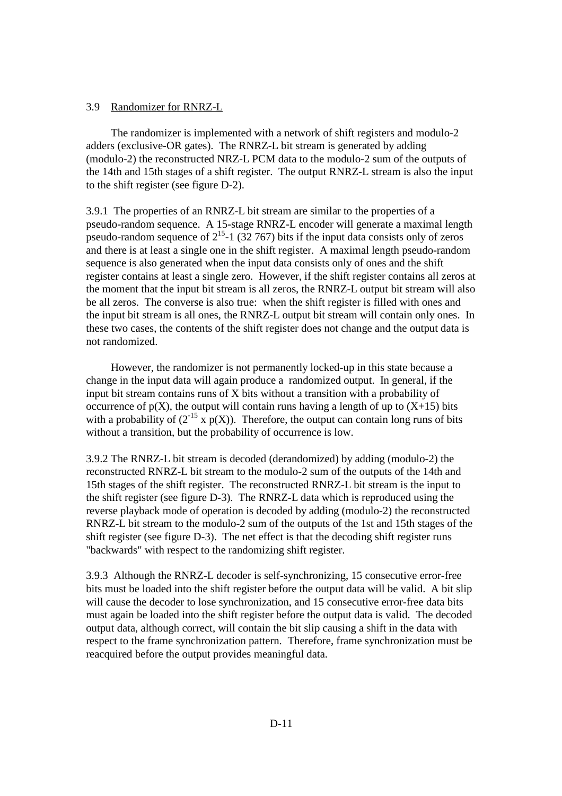#### 3.9 Randomizer for RNRZ-L

 The randomizer is implemented with a network of shift registers and modulo-2 adders (exclusive-OR gates). The RNRZ-L bit stream is generated by adding (modulo-2) the reconstructed NRZ-L PCM data to the modulo-2 sum of the outputs of the 14th and 15th stages of a shift register. The output RNRZ-L stream is also the input to the shift register (see figure D-2).

3.9.1 The properties of an RNRZ-L bit stream are similar to the properties of a pseudo-random sequence. A 15-stage RNRZ-L encoder will generate a maximal length pseudo-random sequence of  $2^{15}$ -1 (32 767) bits if the input data consists only of zeros and there is at least a single one in the shift register. A maximal length pseudo-random sequence is also generated when the input data consists only of ones and the shift register contains at least a single zero. However, if the shift register contains all zeros at the moment that the input bit stream is all zeros, the RNRZ-L output bit stream will also be all zeros. The converse is also true: when the shift register is filled with ones and the input bit stream is all ones, the RNRZ-L output bit stream will contain only ones. In these two cases, the contents of the shift register does not change and the output data is not randomized.

 However, the randomizer is not permanently locked-up in this state because a change in the input data will again produce a randomized output. In general, if the input bit stream contains runs of X bits without a transition with a probability of occurrence of  $p(X)$ , the output will contain runs having a length of up to  $(X+15)$  bits with a probability of  $(2^{-15} \times p(X))$ . Therefore, the output can contain long runs of bits without a transition, but the probability of occurrence is low.

3.9.2 The RNRZ-L bit stream is decoded (derandomized) by adding (modulo-2) the reconstructed RNRZ-L bit stream to the modulo-2 sum of the outputs of the 14th and 15th stages of the shift register. The reconstructed RNRZ-L bit stream is the input to the shift register (see figure D-3). The RNRZ-L data which is reproduced using the reverse playback mode of operation is decoded by adding (modulo-2) the reconstructed RNRZ-L bit stream to the modulo-2 sum of the outputs of the 1st and 15th stages of the shift register (see figure D-3). The net effect is that the decoding shift register runs "backwards" with respect to the randomizing shift register.

3.9.3 Although the RNRZ-L decoder is self-synchronizing, 15 consecutive error-free bits must be loaded into the shift register before the output data will be valid. A bit slip will cause the decoder to lose synchronization, and 15 consecutive error-free data bits must again be loaded into the shift register before the output data is valid. The decoded output data, although correct, will contain the bit slip causing a shift in the data with respect to the frame synchronization pattern. Therefore, frame synchronization must be reacquired before the output provides meaningful data.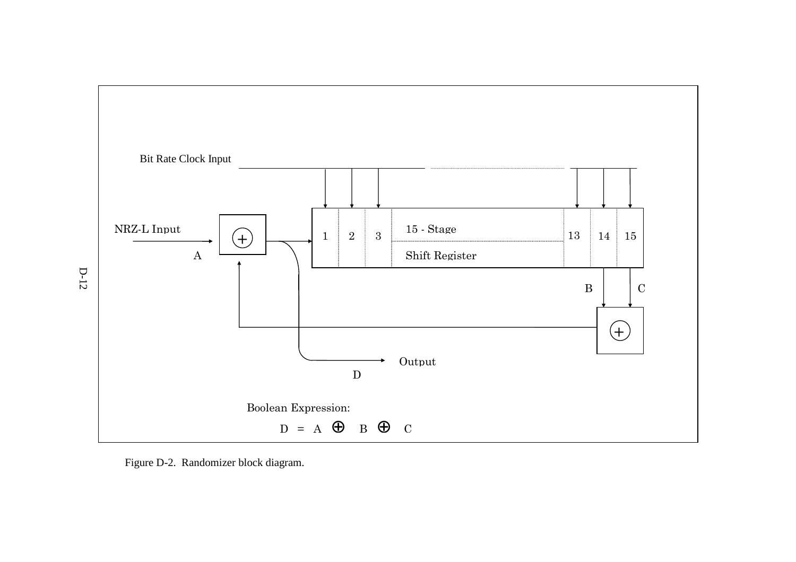

Figure D-2. Randomizer block diagram.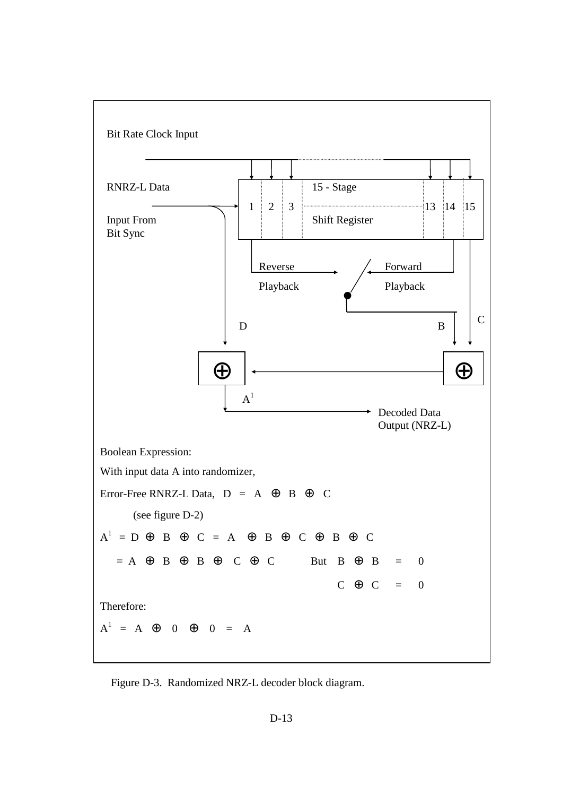

Figure D-3. Randomized NRZ-L decoder block diagram.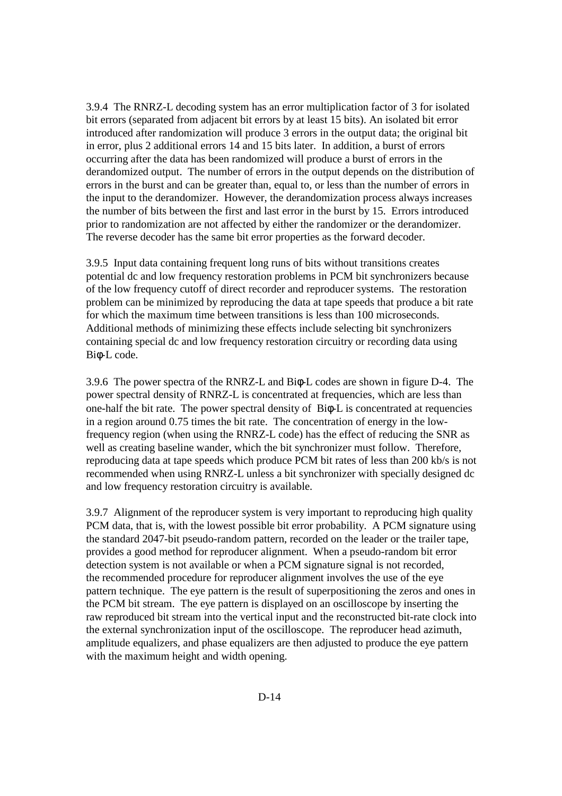3.9.4 The RNRZ-L decoding system has an error multiplication factor of 3 for isolated bit errors (separated from adjacent bit errors by at least 15 bits). An isolated bit error introduced after randomization will produce 3 errors in the output data; the original bit in error, plus 2 additional errors 14 and 15 bits later. In addition, a burst of errors occurring after the data has been randomized will produce a burst of errors in the derandomized output. The number of errors in the output depends on the distribution of errors in the burst and can be greater than, equal to, or less than the number of errors in the input to the derandomizer. However, the derandomization process always increases the number of bits between the first and last error in the burst by 15. Errors introduced prior to randomization are not affected by either the randomizer or the derandomizer. The reverse decoder has the same bit error properties as the forward decoder.

3.9.5 Input data containing frequent long runs of bits without transitions creates potential dc and low frequency restoration problems in PCM bit synchronizers because of the low frequency cutoff of direct recorder and reproducer systems. The restoration problem can be minimized by reproducing the data at tape speeds that produce a bit rate for which the maximum time between transitions is less than 100 microseconds. Additional methods of minimizing these effects include selecting bit synchronizers containing special dc and low frequency restoration circuitry or recording data using Biφ-L code.

3.9.6 The power spectra of the RNRZ-L and Biφ-L codes are shown in figure D-4. The power spectral density of RNRZ-L is concentrated at frequencies, which are less than one-half the bit rate. The power spectral density of Biφ-L is concentrated at requencies in a region around 0.75 times the bit rate. The concentration of energy in the lowfrequency region (when using the RNRZ-L code) has the effect of reducing the SNR as well as creating baseline wander, which the bit synchronizer must follow. Therefore, reproducing data at tape speeds which produce PCM bit rates of less than 200 kb/s is not recommended when using RNRZ-L unless a bit synchronizer with specially designed dc and low frequency restoration circuitry is available.

3.9.7 Alignment of the reproducer system is very important to reproducing high quality PCM data, that is, with the lowest possible bit error probability. A PCM signature using the standard 2047-bit pseudo-random pattern, recorded on the leader or the trailer tape, provides a good method for reproducer alignment. When a pseudo-random bit error detection system is not available or when a PCM signature signal is not recorded, the recommended procedure for reproducer alignment involves the use of the eye pattern technique. The eye pattern is the result of superpositioning the zeros and ones in the PCM bit stream. The eye pattern is displayed on an oscilloscope by inserting the raw reproduced bit stream into the vertical input and the reconstructed bit-rate clock into the external synchronization input of the oscilloscope. The reproducer head azimuth, amplitude equalizers, and phase equalizers are then adjusted to produce the eye pattern with the maximum height and width opening.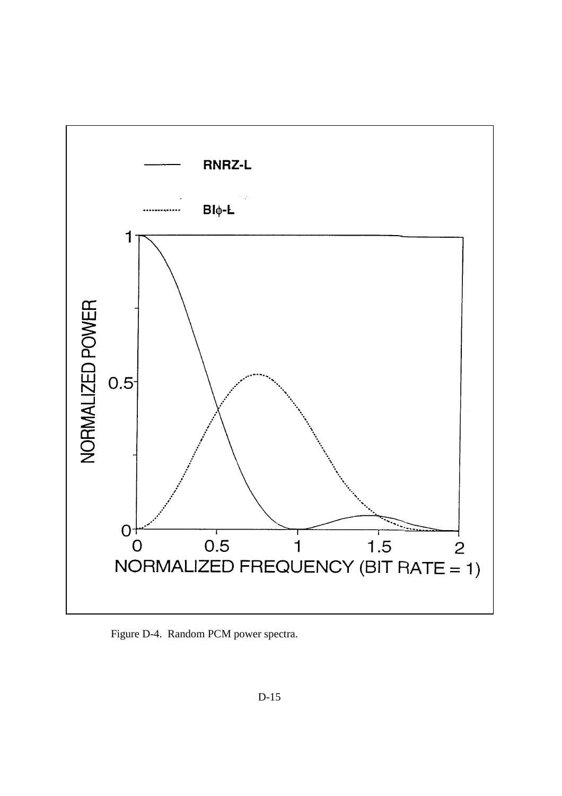

Figure D-4. Random PCM power spectra.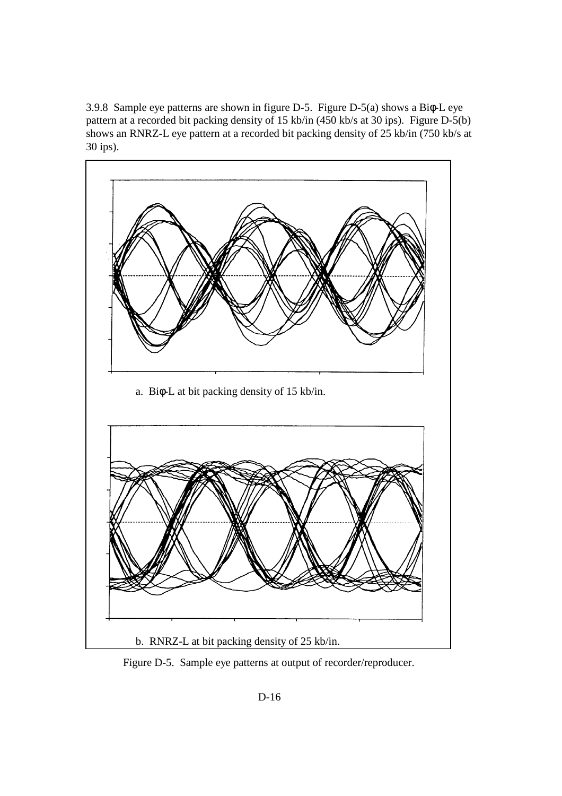3.9.8 Sample eye patterns are shown in figure D-5. Figure D-5(a) shows a Biφ-L eye pattern at a recorded bit packing density of 15 kb/in (450 kb/s at 30 ips). Figure D-5(b) shows an RNRZ-L eye pattern at a recorded bit packing density of 25 kb/in (750 kb/s at 30 ips).



Figure D-5. Sample eye patterns at output of recorder/reproducer.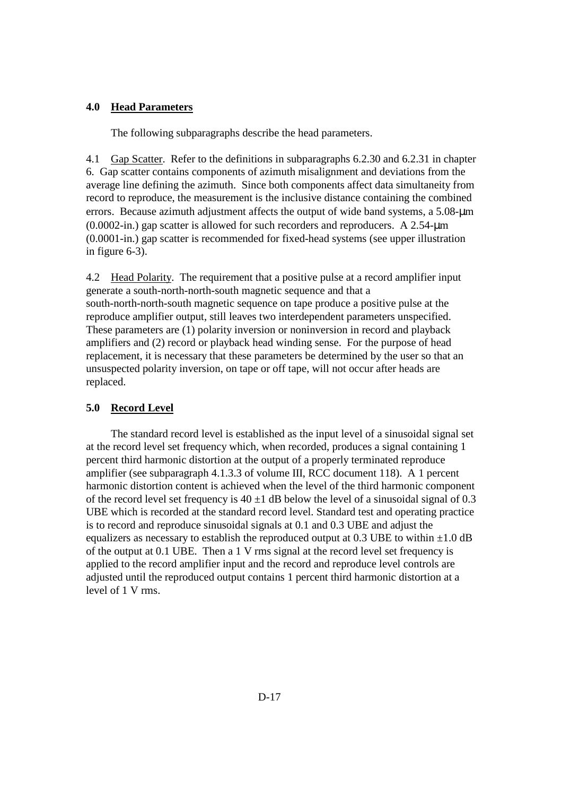#### **4.0 Head Parameters**

The following subparagraphs describe the head parameters.

4.1 Gap Scatter. Refer to the definitions in subparagraphs 6.2.30 and 6.2.31 in chapter 6. Gap scatter contains components of azimuth misalignment and deviations from the average line defining the azimuth. Since both components affect data simultaneity from record to reproduce, the measurement is the inclusive distance containing the combined errors. Because azimuth adjustment affects the output of wide band systems, a 5.08-µm  $(0.0002\text{-}in.)$  gap scatter is allowed for such recorders and reproducers. A 2.54-um (0.0001-in.) gap scatter is recommended for fixed-head systems (see upper illustration in figure 6-3).

4.2 Head Polarity. The requirement that a positive pulse at a record amplifier input generate a south-north-north-south magnetic sequence and that a south-north-north-south magnetic sequence on tape produce a positive pulse at the reproduce amplifier output, still leaves two interdependent parameters unspecified. These parameters are (1) polarity inversion or noninversion in record and playback amplifiers and (2) record or playback head winding sense. For the purpose of head replacement, it is necessary that these parameters be determined by the user so that an unsuspected polarity inversion, on tape or off tape, will not occur after heads are replaced.

#### **5.0 Record Level**

 The standard record level is established as the input level of a sinusoidal signal set at the record level set frequency which, when recorded, produces a signal containing 1 percent third harmonic distortion at the output of a properly terminated reproduce amplifier (see subparagraph 4.1.3.3 of volume III, RCC document 118). A 1 percent harmonic distortion content is achieved when the level of the third harmonic component of the record level set frequency is  $40 \pm 1$  dB below the level of a sinusoidal signal of 0.3 UBE which is recorded at the standard record level. Standard test and operating practice is to record and reproduce sinusoidal signals at 0.1 and 0.3 UBE and adjust the equalizers as necessary to establish the reproduced output at 0.3 UBE to within  $\pm 1.0$  dB of the output at 0.1 UBE. Then a 1 V rms signal at the record level set frequency is applied to the record amplifier input and the record and reproduce level controls are adjusted until the reproduced output contains 1 percent third harmonic distortion at a level of 1 V rms.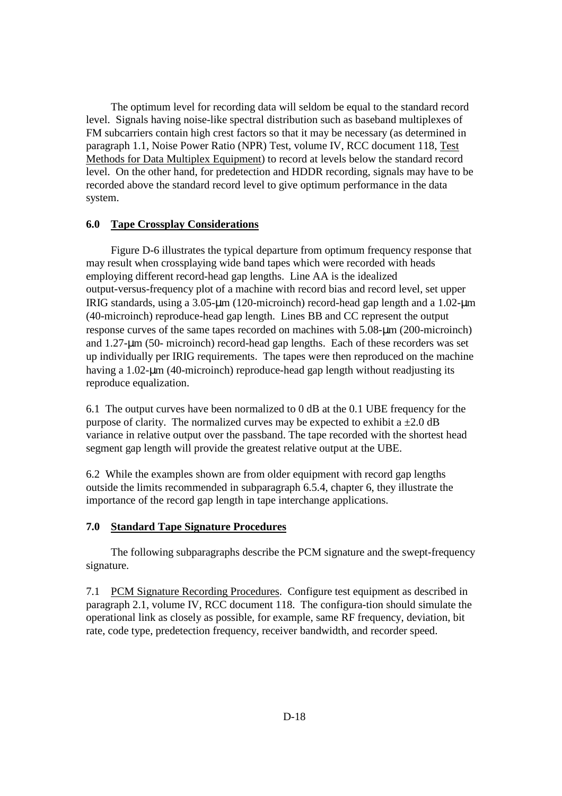The optimum level for recording data will seldom be equal to the standard record level. Signals having noise-like spectral distribution such as baseband multiplexes of FM subcarriers contain high crest factors so that it may be necessary (as determined in paragraph 1.1, Noise Power Ratio (NPR) Test, volume IV, RCC document 118, Test Methods for Data Multiplex Equipment) to record at levels below the standard record level. On the other hand, for predetection and HDDR recording, signals may have to be recorded above the standard record level to give optimum performance in the data system.

#### **6.0 Tape Crossplay Considerations**

 Figure D-6 illustrates the typical departure from optimum frequency response that may result when crossplaying wide band tapes which were recorded with heads employing different record-head gap lengths. Line AA is the idealized output-versus-frequency plot of a machine with record bias and record level, set upper IRIG standards, using a 3.05-µm (120-microinch) record-head gap length and a 1.02-µm (40-microinch) reproduce-head gap length. Lines BB and CC represent the output response curves of the same tapes recorded on machines with 5.08-µm (200-microinch) and 1.27-µm (50- microinch) record-head gap lengths. Each of these recorders was set up individually per IRIG requirements. The tapes were then reproduced on the machine having a 1.02-µm (40-microinch) reproduce-head gap length without readjusting its reproduce equalization.

6.1 The output curves have been normalized to 0 dB at the 0.1 UBE frequency for the purpose of clarity. The normalized curves may be expected to exhibit a  $\pm 2.0$  dB variance in relative output over the passband. The tape recorded with the shortest head segment gap length will provide the greatest relative output at the UBE.

6.2 While the examples shown are from older equipment with record gap lengths outside the limits recommended in subparagraph 6.5.4, chapter 6, they illustrate the importance of the record gap length in tape interchange applications.

#### **7.0 Standard Tape Signature Procedures**

 The following subparagraphs describe the PCM signature and the swept-frequency signature.

7.1 PCM Signature Recording Procedures. Configure test equipment as described in paragraph 2.1, volume IV, RCC document 118. The configura-tion should simulate the operational link as closely as possible, for example, same RF frequency, deviation, bit rate, code type, predetection frequency, receiver bandwidth, and recorder speed.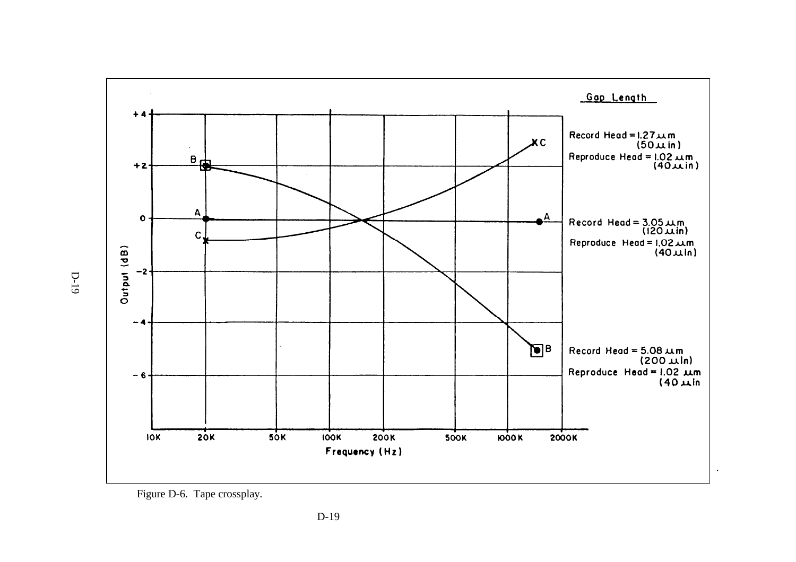

Figure D-6. Tape crossplay.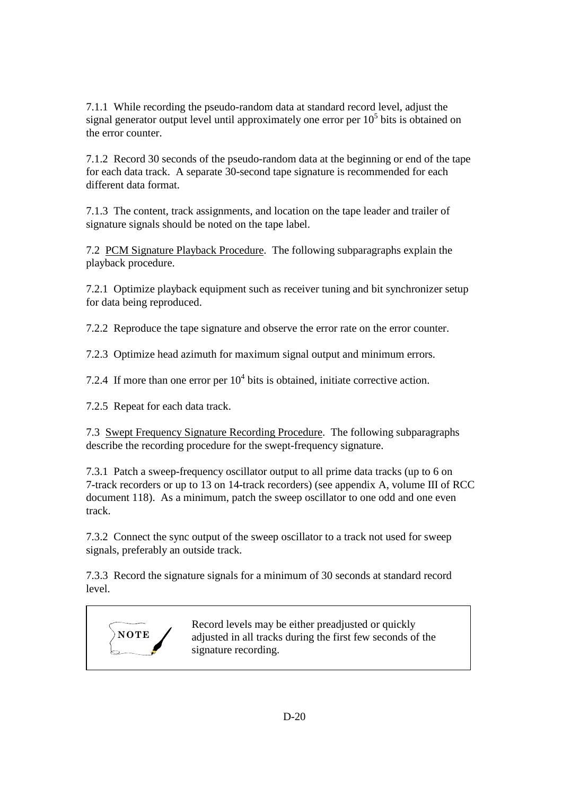7.1.1 While recording the pseudo-random data at standard record level, adjust the signal generator output level until approximately one error per  $10<sup>5</sup>$  bits is obtained on the error counter.

7.1.2 Record 30 seconds of the pseudo-random data at the beginning or end of the tape for each data track. A separate 30-second tape signature is recommended for each different data format.

7.1.3 The content, track assignments, and location on the tape leader and trailer of signature signals should be noted on the tape label.

7.2 PCM Signature Playback Procedure. The following subparagraphs explain the playback procedure.

7.2.1 Optimize playback equipment such as receiver tuning and bit synchronizer setup for data being reproduced.

7.2.2 Reproduce the tape signature and observe the error rate on the error counter.

7.2.3 Optimize head azimuth for maximum signal output and minimum errors.

7.2.4 If more than one error per  $10<sup>4</sup>$  bits is obtained, initiate corrective action.

7.2.5 Repeat for each data track.

7.3 Swept Frequency Signature Recording Procedure. The following subparagraphs describe the recording procedure for the swept-frequency signature.

7.3.1 Patch a sweep-frequency oscillator output to all prime data tracks (up to 6 on 7-track recorders or up to 13 on 14-track recorders) (see appendix A, volume III of RCC document 118). As a minimum, patch the sweep oscillator to one odd and one even track.

7.3.2 Connect the sync output of the sweep oscillator to a track not used for sweep signals, preferably an outside track.

7.3.3 Record the signature signals for a minimum of 30 seconds at standard record level.



Record levels may be either preadjusted or quickly adjusted in all tracks during the first few seconds of the signature recording.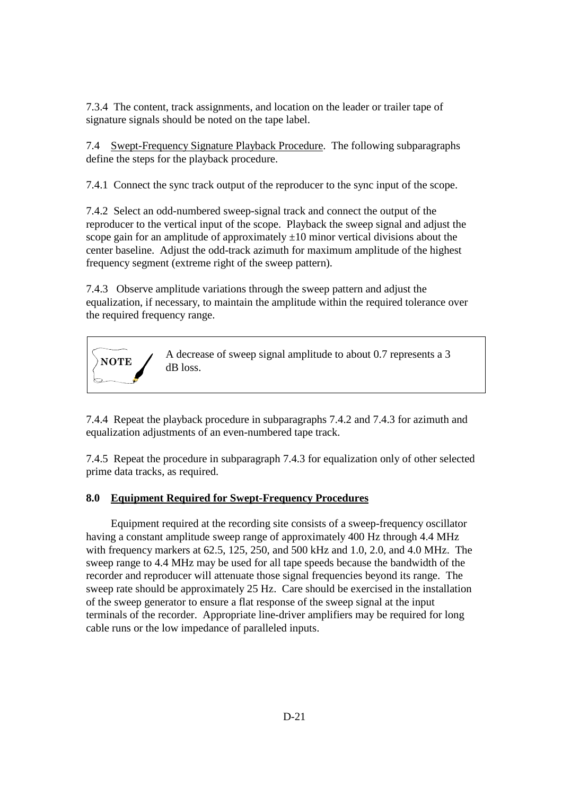7.3.4 The content, track assignments, and location on the leader or trailer tape of signature signals should be noted on the tape label.

7.4 Swept-Frequency Signature Playback Procedure. The following subparagraphs define the steps for the playback procedure.

7.4.1 Connect the sync track output of the reproducer to the sync input of the scope.

7.4.2 Select an odd-numbered sweep-signal track and connect the output of the reproducer to the vertical input of the scope. Playback the sweep signal and adjust the scope gain for an amplitude of approximately  $\pm 10$  minor vertical divisions about the center baseline. Adjust the odd-track azimuth for maximum amplitude of the highest frequency segment (extreme right of the sweep pattern).

7.4.3 Observe amplitude variations through the sweep pattern and adjust the equalization, if necessary, to maintain the amplitude within the required tolerance over the required frequency range.



7.4.4 Repeat the playback procedure in subparagraphs 7.4.2 and 7.4.3 for azimuth and equalization adjustments of an even-numbered tape track.

7.4.5 Repeat the procedure in subparagraph 7.4.3 for equalization only of other selected prime data tracks, as required.

#### **8.0 Equipment Required for Swept-Frequency Procedures**

 Equipment required at the recording site consists of a sweep-frequency oscillator having a constant amplitude sweep range of approximately 400 Hz through 4.4 MHz with frequency markers at 62.5, 125, 250, and 500 kHz and 1.0, 2.0, and 4.0 MHz. The sweep range to 4.4 MHz may be used for all tape speeds because the bandwidth of the recorder and reproducer will attenuate those signal frequencies beyond its range. The sweep rate should be approximately 25 Hz. Care should be exercised in the installation of the sweep generator to ensure a flat response of the sweep signal at the input terminals of the recorder. Appropriate line-driver amplifiers may be required for long cable runs or the low impedance of paralleled inputs.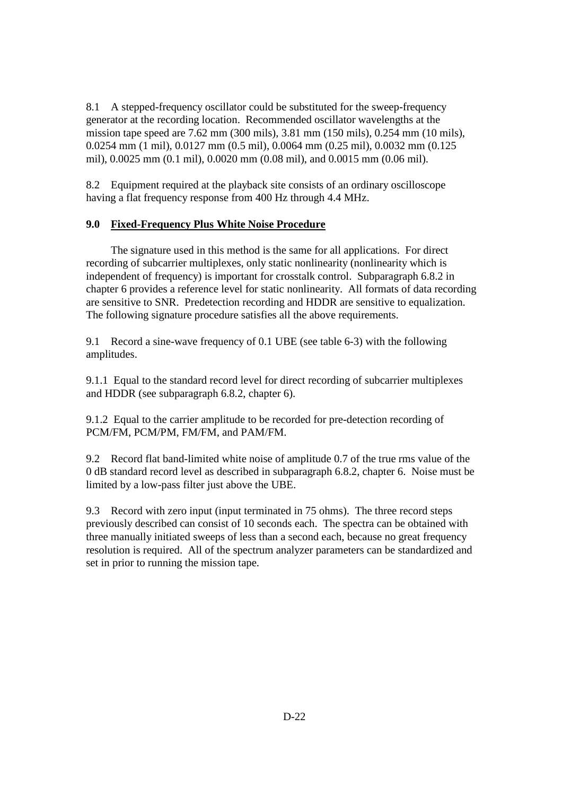8.1 A stepped-frequency oscillator could be substituted for the sweep-frequency generator at the recording location. Recommended oscillator wavelengths at the mission tape speed are 7.62 mm (300 mils), 3.81 mm (150 mils), 0.254 mm (10 mils), 0.0254 mm (1 mil), 0.0127 mm (0.5 mil), 0.0064 mm (0.25 mil), 0.0032 mm (0.125 mil), 0.0025 mm (0.1 mil), 0.0020 mm (0.08 mil), and 0.0015 mm (0.06 mil).

8.2 Equipment required at the playback site consists of an ordinary oscilloscope having a flat frequency response from 400 Hz through 4.4 MHz.

#### **9.0 Fixed-Frequency Plus White Noise Procedure**

 The signature used in this method is the same for all applications. For direct recording of subcarrier multiplexes, only static nonlinearity (nonlinearity which is independent of frequency) is important for crosstalk control. Subparagraph 6.8.2 in chapter 6 provides a reference level for static nonlinearity. All formats of data recording are sensitive to SNR. Predetection recording and HDDR are sensitive to equalization. The following signature procedure satisfies all the above requirements.

9.1 Record a sine-wave frequency of 0.1 UBE (see table 6-3) with the following amplitudes.

9.1.1 Equal to the standard record level for direct recording of subcarrier multiplexes and HDDR (see subparagraph 6.8.2, chapter 6).

9.1.2 Equal to the carrier amplitude to be recorded for pre-detection recording of PCM/FM, PCM/PM, FM/FM, and PAM/FM.

9.2 Record flat band-limited white noise of amplitude 0.7 of the true rms value of the 0 dB standard record level as described in subparagraph 6.8.2, chapter 6. Noise must be limited by a low-pass filter just above the UBE.

9.3 Record with zero input (input terminated in 75 ohms). The three record steps previously described can consist of 10 seconds each. The spectra can be obtained with three manually initiated sweeps of less than a second each, because no great frequency resolution is required. All of the spectrum analyzer parameters can be standardized and set in prior to running the mission tape.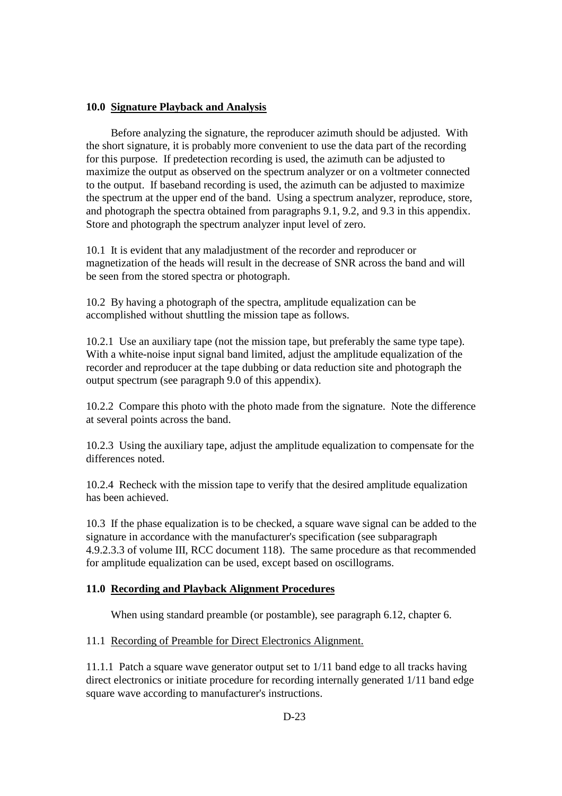### **10.0 Signature Playback and Analysis**

 Before analyzing the signature, the reproducer azimuth should be adjusted. With the short signature, it is probably more convenient to use the data part of the recording for this purpose. If predetection recording is used, the azimuth can be adjusted to maximize the output as observed on the spectrum analyzer or on a voltmeter connected to the output. If baseband recording is used, the azimuth can be adjusted to maximize the spectrum at the upper end of the band. Using a spectrum analyzer, reproduce, store, and photograph the spectra obtained from paragraphs 9.1, 9.2, and 9.3 in this appendix. Store and photograph the spectrum analyzer input level of zero.

10.1 It is evident that any maladjustment of the recorder and reproducer or magnetization of the heads will result in the decrease of SNR across the band and will be seen from the stored spectra or photograph.

10.2 By having a photograph of the spectra, amplitude equalization can be accomplished without shuttling the mission tape as follows.

10.2.1 Use an auxiliary tape (not the mission tape, but preferably the same type tape). With a white-noise input signal band limited, adjust the amplitude equalization of the recorder and reproducer at the tape dubbing or data reduction site and photograph the output spectrum (see paragraph 9.0 of this appendix).

10.2.2 Compare this photo with the photo made from the signature. Note the difference at several points across the band.

10.2.3 Using the auxiliary tape, adjust the amplitude equalization to compensate for the differences noted.

10.2.4 Recheck with the mission tape to verify that the desired amplitude equalization has been achieved.

10.3 If the phase equalization is to be checked, a square wave signal can be added to the signature in accordance with the manufacturer's specification (see subparagraph 4.9.2.3.3 of volume III, RCC document 118). The same procedure as that recommended for amplitude equalization can be used, except based on oscillograms.

## **11.0 Recording and Playback Alignment Procedures**

When using standard preamble (or postamble), see paragraph 6.12, chapter 6.

11.1 Recording of Preamble for Direct Electronics Alignment.

11.1.1 Patch a square wave generator output set to 1/11 band edge to all tracks having direct electronics or initiate procedure for recording internally generated 1/11 band edge square wave according to manufacturer's instructions.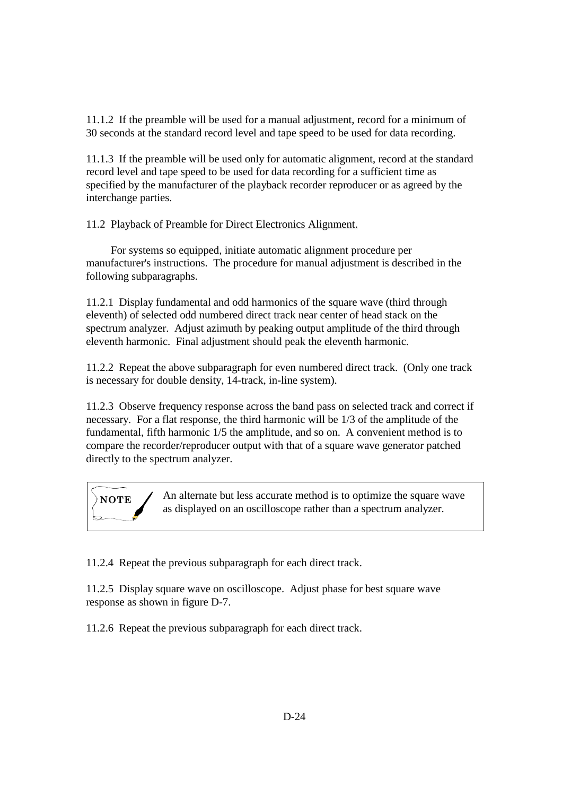11.1.2 If the preamble will be used for a manual adjustment, record for a minimum of 30 seconds at the standard record level and tape speed to be used for data recording.

11.1.3 If the preamble will be used only for automatic alignment, record at the standard record level and tape speed to be used for data recording for a sufficient time as specified by the manufacturer of the playback recorder reproducer or as agreed by the interchange parties.

#### 11.2 Playback of Preamble for Direct Electronics Alignment.

 For systems so equipped, initiate automatic alignment procedure per manufacturer's instructions. The procedure for manual adjustment is described in the following subparagraphs.

11.2.1 Display fundamental and odd harmonics of the square wave (third through eleventh) of selected odd numbered direct track near center of head stack on the spectrum analyzer. Adjust azimuth by peaking output amplitude of the third through eleventh harmonic. Final adjustment should peak the eleventh harmonic.

11.2.2 Repeat the above subparagraph for even numbered direct track. (Only one track is necessary for double density, 14-track, in-line system).

11.2.3 Observe frequency response across the band pass on selected track and correct if necessary. For a flat response, the third harmonic will be 1/3 of the amplitude of the fundamental, fifth harmonic 1/5 the amplitude, and so on. A convenient method is to compare the recorder/reproducer output with that of a square wave generator patched directly to the spectrum analyzer.

**NOTE** An alternate but less accurate method is to optimize the square wave as displayed on an oscilloscope rather than a spectrum analyzer.

11.2.4 Repeat the previous subparagraph for each direct track.

11.2.5 Display square wave on oscilloscope. Adjust phase for best square wave response as shown in figure D-7.

11.2.6 Repeat the previous subparagraph for each direct track.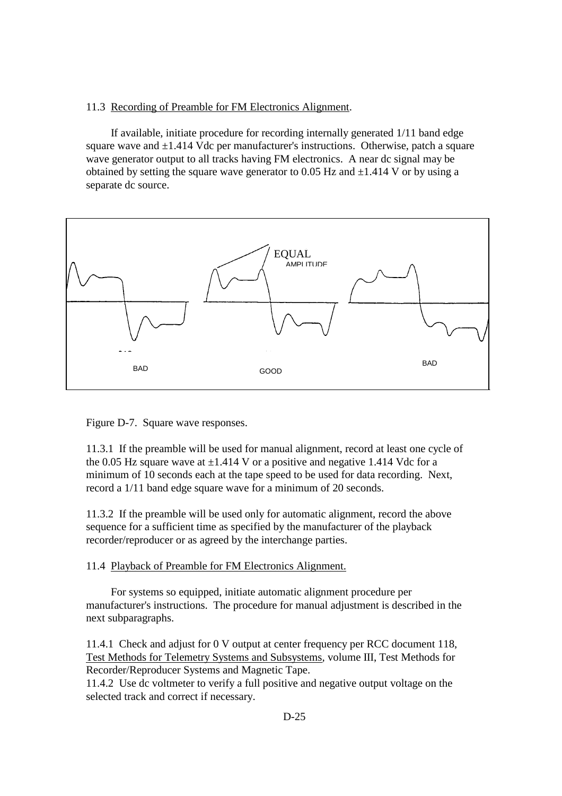#### 11.3 Recording of Preamble for FM Electronics Alignment.

 If available, initiate procedure for recording internally generated 1/11 band edge square wave and  $\pm 1.414$  Vdc per manufacturer's instructions. Otherwise, patch a square wave generator output to all tracks having FM electronics. A near dc signal may be obtained by setting the square wave generator to 0.05 Hz and  $\pm$ 1.414 V or by using a separate dc source.



Figure D-7. Square wave responses.

11.3.1 If the preamble will be used for manual alignment, record at least one cycle of the 0.05 Hz square wave at  $\pm$ 1.414 V or a positive and negative 1.414 Vdc for a minimum of 10 seconds each at the tape speed to be used for data recording. Next, record a 1/11 band edge square wave for a minimum of 20 seconds.

11.3.2 If the preamble will be used only for automatic alignment, record the above sequence for a sufficient time as specified by the manufacturer of the playback recorder/reproducer or as agreed by the interchange parties.

11.4 Playback of Preamble for FM Electronics Alignment.

 For systems so equipped, initiate automatic alignment procedure per manufacturer's instructions. The procedure for manual adjustment is described in the next subparagraphs.

11.4.1 Check and adjust for 0 V output at center frequency per RCC document 118, Test Methods for Telemetry Systems and Subsystems*,* volume III, Test Methods for Recorder/Reproducer Systems and Magnetic Tape.

11.4.2 Use dc voltmeter to verify a full positive and negative output voltage on the selected track and correct if necessary.